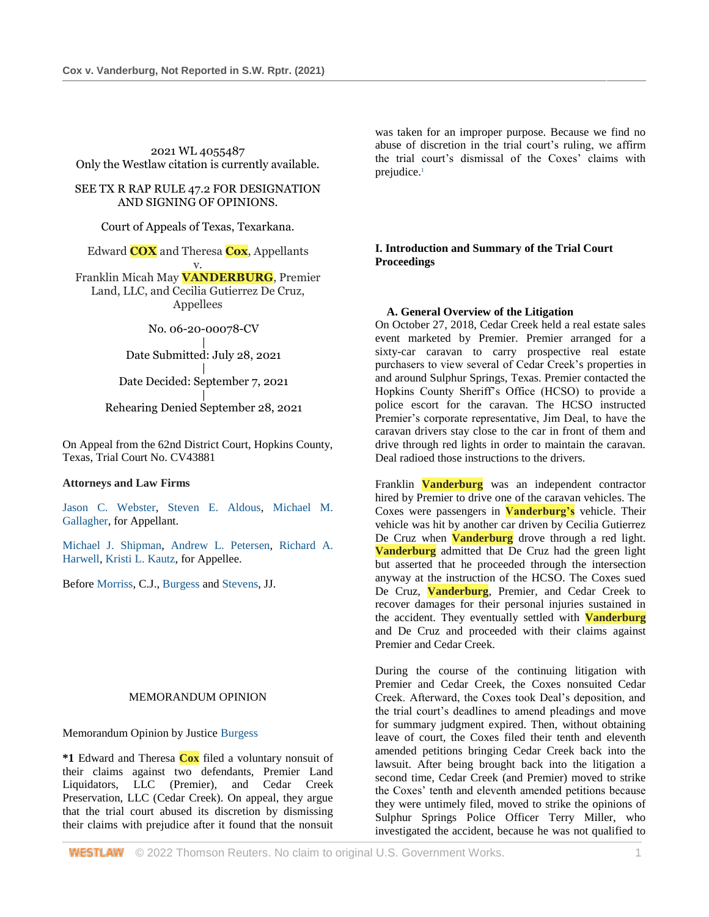2021 WL 4055487 Only the Westlaw citation is currently available.

SEE TX R RAP RULE 47.2 FOR DESIGNATION AND SIGNING OF OPINIONS.

Court of Appeals of Texas, Texarkana.

Edward **COX** and Theresa **Cox**, Appellants

v. Franklin Micah May **VANDERBURG**, Premier Land, LLC, and Cecilia Gutierrez De Cruz, Appellees

No. 06-20-00078-CV

| Date Submitted: July 28, 2021

| Date Decided: September 7, 2021

| Rehearing Denied September 28, 2021

On Appeal from the 62nd District Court, Hopkins County, Texas, Trial Court No. CV43881

#### **Attorneys and Law Firms**

[Jason C. Webster,](http://www.westlaw.com/Link/Document/FullText?findType=h&pubNum=176284&cite=0343941101&originatingDoc=Ib34fd8700fe311ecaa7cf4d9113e8a97&refType=RQ&originationContext=document&vr=3.0&rs=cblt1.0&transitionType=DocumentItem&contextData=(sc.Search)) [Steven E. Aldous,](http://www.westlaw.com/Link/Document/FullText?findType=h&pubNum=176284&cite=0115138801&originatingDoc=Ib34fd8700fe311ecaa7cf4d9113e8a97&refType=RQ&originationContext=document&vr=3.0&rs=cblt1.0&transitionType=DocumentItem&contextData=(sc.Search)) [Michael M.](http://www.westlaw.com/Link/Document/FullText?findType=h&pubNum=176284&cite=0344761801&originatingDoc=Ib34fd8700fe311ecaa7cf4d9113e8a97&refType=RQ&originationContext=document&vr=3.0&rs=cblt1.0&transitionType=DocumentItem&contextData=(sc.Search))  [Gallagher,](http://www.westlaw.com/Link/Document/FullText?findType=h&pubNum=176284&cite=0344761801&originatingDoc=Ib34fd8700fe311ecaa7cf4d9113e8a97&refType=RQ&originationContext=document&vr=3.0&rs=cblt1.0&transitionType=DocumentItem&contextData=(sc.Search)) for Appellant.

[Michael J. Shipman,](http://www.westlaw.com/Link/Document/FullText?findType=h&pubNum=176284&cite=0207941301&originatingDoc=Ib34fd8700fe311ecaa7cf4d9113e8a97&refType=RQ&originationContext=document&vr=3.0&rs=cblt1.0&transitionType=DocumentItem&contextData=(sc.Search)) [Andrew L. Petersen,](http://www.westlaw.com/Link/Document/FullText?findType=h&pubNum=176284&cite=0471813901&originatingDoc=Ib34fd8700fe311ecaa7cf4d9113e8a97&refType=RQ&originationContext=document&vr=3.0&rs=cblt1.0&transitionType=DocumentItem&contextData=(sc.Search)) [Richard A.](http://www.westlaw.com/Link/Document/FullText?findType=h&pubNum=176284&cite=0364489301&originatingDoc=Ib34fd8700fe311ecaa7cf4d9113e8a97&refType=RQ&originationContext=document&vr=3.0&rs=cblt1.0&transitionType=DocumentItem&contextData=(sc.Search))  [Harwell,](http://www.westlaw.com/Link/Document/FullText?findType=h&pubNum=176284&cite=0364489301&originatingDoc=Ib34fd8700fe311ecaa7cf4d9113e8a97&refType=RQ&originationContext=document&vr=3.0&rs=cblt1.0&transitionType=DocumentItem&contextData=(sc.Search)) [Kristi L. Kautz,](http://www.westlaw.com/Link/Document/FullText?findType=h&pubNum=176284&cite=0399574901&originatingDoc=Ib34fd8700fe311ecaa7cf4d9113e8a97&refType=RQ&originationContext=document&vr=3.0&rs=cblt1.0&transitionType=DocumentItem&contextData=(sc.Search)) for Appellee.

Befor[e Morriss,](http://www.westlaw.com/Link/Document/FullText?findType=h&pubNum=176284&cite=0146719401&originatingDoc=Ib34fd8700fe311ecaa7cf4d9113e8a97&refType=RQ&originationContext=document&vr=3.0&rs=cblt1.0&transitionType=DocumentItem&contextData=(sc.Search)) C.J., [Burgess](http://www.westlaw.com/Link/Document/FullText?findType=h&pubNum=176284&cite=0229951301&originatingDoc=Ib34fd8700fe311ecaa7cf4d9113e8a97&refType=RQ&originationContext=document&vr=3.0&rs=cblt1.0&transitionType=DocumentItem&contextData=(sc.Search)) and [Stevens,](http://www.westlaw.com/Link/Document/FullText?findType=h&pubNum=176284&cite=0515577301&originatingDoc=Ib34fd8700fe311ecaa7cf4d9113e8a97&refType=RQ&originationContext=document&vr=3.0&rs=cblt1.0&transitionType=DocumentItem&contextData=(sc.Search)) JJ.

#### MEMORANDUM OPINION

Memorandum Opinion by Justice [Burgess](http://www.westlaw.com/Link/Document/FullText?findType=h&pubNum=176284&cite=0229951301&originatingDoc=Ib34fd8700fe311ecaa7cf4d9113e8a97&refType=RQ&originationContext=document&vr=3.0&rs=cblt1.0&transitionType=DocumentItem&contextData=(sc.Search))

**\*1** Edward and Theresa **Cox** filed a voluntary nonsuit of their claims against two defendants, Premier Land Liquidators, LLC (Premier), and Cedar Creek Preservation, LLC (Cedar Creek). On appeal, they argue that the trial court abused its discretion by dismissing their claims with prejudice after it found that the nonsuit was taken for an improper purpose. Because we find no abuse of discretion in the trial court's ruling, we affirm the trial court's dismissal of the Coxes' claims with prejudice.<sup>1</sup>

**I. Introduction and Summary of the Trial Court Proceedings**

#### **A. General Overview of the Litigation**

On October 27, 2018, Cedar Creek held a real estate sales event marketed by Premier. Premier arranged for a sixty-car caravan to carry prospective real estate purchasers to view several of Cedar Creek's properties in and around Sulphur Springs, Texas. Premier contacted the Hopkins County Sheriff's Office (HCSO) to provide a police escort for the caravan. The HCSO instructed Premier's corporate representative, Jim Deal, to have the caravan drivers stay close to the car in front of them and drive through red lights in order to maintain the caravan. Deal radioed those instructions to the drivers.

Franklin **Vanderburg** was an independent contractor hired by Premier to drive one of the caravan vehicles. The Coxes were passengers in **Vanderburg's** vehicle. Their vehicle was hit by another car driven by Cecilia Gutierrez De Cruz when **Vanderburg** drove through a red light. **Vanderburg** admitted that De Cruz had the green light but asserted that he proceeded through the intersection anyway at the instruction of the HCSO. The Coxes sued De Cruz, **Vanderburg**, Premier, and Cedar Creek to recover damages for their personal injuries sustained in the accident. They eventually settled with **Vanderburg** and De Cruz and proceeded with their claims against Premier and Cedar Creek.

During the course of the continuing litigation with Premier and Cedar Creek, the Coxes nonsuited Cedar Creek. Afterward, the Coxes took Deal's deposition, and the trial court's deadlines to amend pleadings and move for summary judgment expired. Then, without obtaining leave of court, the Coxes filed their tenth and eleventh amended petitions bringing Cedar Creek back into the lawsuit. After being brought back into the litigation a second time, Cedar Creek (and Premier) moved to strike the Coxes' tenth and eleventh amended petitions because they were untimely filed, moved to strike the opinions of Sulphur Springs Police Officer Terry Miller, who investigated the accident, because he was not qualified to

**WESTLAW** © 2022 Thomson Reuters. No claim to original U.S. Government Works. 1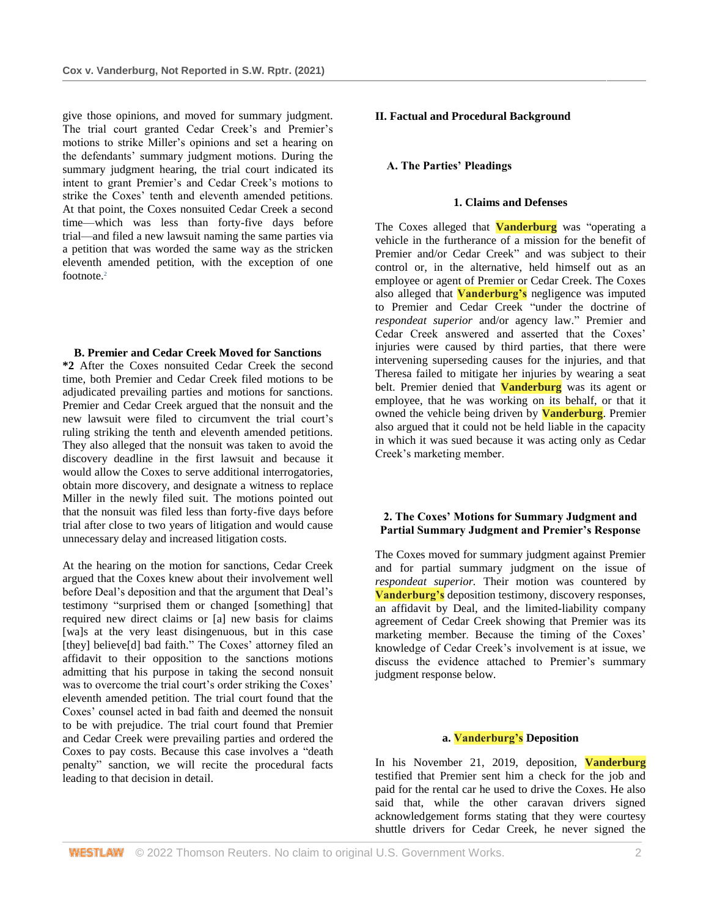give those opinions, and moved for summary judgment. The trial court granted Cedar Creek's and Premier's motions to strike Miller's opinions and set a hearing on the defendants' summary judgment motions. During the summary judgment hearing, the trial court indicated its intent to grant Premier's and Cedar Creek's motions to strike the Coxes' tenth and eleventh amended petitions. At that point, the Coxes nonsuited Cedar Creek a second time—which was less than forty-five days before trial—and filed a new lawsuit naming the same parties via a petition that was worded the same way as the stricken eleventh amended petition, with the exception of one footnote.<sup>2</sup>

#### **B. Premier and Cedar Creek Moved for Sanctions**

**\*2** After the Coxes nonsuited Cedar Creek the second time, both Premier and Cedar Creek filed motions to be adjudicated prevailing parties and motions for sanctions. Premier and Cedar Creek argued that the nonsuit and the new lawsuit were filed to circumvent the trial court's ruling striking the tenth and eleventh amended petitions. They also alleged that the nonsuit was taken to avoid the discovery deadline in the first lawsuit and because it would allow the Coxes to serve additional interrogatories, obtain more discovery, and designate a witness to replace Miller in the newly filed suit. The motions pointed out that the nonsuit was filed less than forty-five days before trial after close to two years of litigation and would cause unnecessary delay and increased litigation costs.

At the hearing on the motion for sanctions, Cedar Creek argued that the Coxes knew about their involvement well before Deal's deposition and that the argument that Deal's testimony "surprised them or changed [something] that required new direct claims or [a] new basis for claims [wa]s at the very least disingenuous, but in this case [they] believe[d] bad faith." The Coxes' attorney filed an affidavit to their opposition to the sanctions motions admitting that his purpose in taking the second nonsuit was to overcome the trial court's order striking the Coxes' eleventh amended petition. The trial court found that the Coxes' counsel acted in bad faith and deemed the nonsuit to be with prejudice. The trial court found that Premier and Cedar Creek were prevailing parties and ordered the Coxes to pay costs. Because this case involves a "death penalty" sanction, we will recite the procedural facts leading to that decision in detail.

## **II. Factual and Procedural Background**

# **A. The Parties' Pleadings**

#### **1. Claims and Defenses**

The Coxes alleged that **Vanderburg** was "operating a vehicle in the furtherance of a mission for the benefit of Premier and/or Cedar Creek" and was subject to their control or, in the alternative, held himself out as an employee or agent of Premier or Cedar Creek. The Coxes also alleged that **Vanderburg's** negligence was imputed to Premier and Cedar Creek "under the doctrine of *respondeat superior* and/or agency law." Premier and Cedar Creek answered and asserted that the Coxes' injuries were caused by third parties, that there were intervening superseding causes for the injuries, and that Theresa failed to mitigate her injuries by wearing a seat belt. Premier denied that **Vanderburg** was its agent or employee, that he was working on its behalf, or that it owned the vehicle being driven by **Vanderburg**. Premier also argued that it could not be held liable in the capacity in which it was sued because it was acting only as Cedar Creek's marketing member.

# **2. The Coxes' Motions for Summary Judgment and Partial Summary Judgment and Premier's Response**

The Coxes moved for summary judgment against Premier and for partial summary judgment on the issue of *respondeat superior.* Their motion was countered by **Vanderburg's** deposition testimony, discovery responses, an affidavit by Deal, and the limited-liability company agreement of Cedar Creek showing that Premier was its marketing member. Because the timing of the Coxes' knowledge of Cedar Creek's involvement is at issue, we discuss the evidence attached to Premier's summary judgment response below.

## **a. Vanderburg's Deposition**

In his November 21, 2019, deposition, **Vanderburg** testified that Premier sent him a check for the job and paid for the rental car he used to drive the Coxes. He also said that, while the other caravan drivers signed acknowledgement forms stating that they were courtesy shuttle drivers for Cedar Creek, he never signed the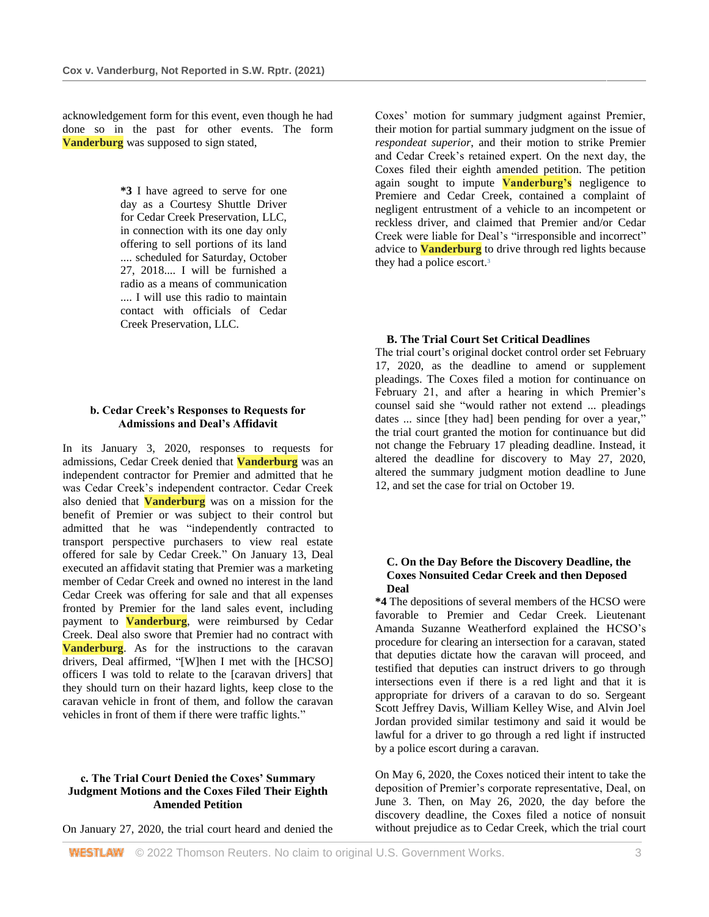acknowledgement form for this event, even though he had done so in the past for other events. The form **Vanderburg** was supposed to sign stated,

> **\*3** I have agreed to serve for one day as a Courtesy Shuttle Driver for Cedar Creek Preservation, LLC, in connection with its one day only offering to sell portions of its land .... scheduled for Saturday, October 27, 2018.... I will be furnished a radio as a means of communication .... I will use this radio to maintain contact with officials of Cedar Creek Preservation, LLC.

## **b. Cedar Creek's Responses to Requests for Admissions and Deal's Affidavit**

In its January 3, 2020, responses to requests for admissions, Cedar Creek denied that **Vanderburg** was an independent contractor for Premier and admitted that he was Cedar Creek's independent contractor. Cedar Creek also denied that **Vanderburg** was on a mission for the benefit of Premier or was subject to their control but admitted that he was "independently contracted to transport perspective purchasers to view real estate offered for sale by Cedar Creek." On January 13, Deal executed an affidavit stating that Premier was a marketing member of Cedar Creek and owned no interest in the land Cedar Creek was offering for sale and that all expenses fronted by Premier for the land sales event, including payment to **Vanderburg**, were reimbursed by Cedar Creek. Deal also swore that Premier had no contract with **Vanderburg**. As for the instructions to the caravan drivers, Deal affirmed, "[W]hen I met with the [HCSO] officers I was told to relate to the [caravan drivers] that they should turn on their hazard lights, keep close to the caravan vehicle in front of them, and follow the caravan vehicles in front of them if there were traffic lights."

## **c. The Trial Court Denied the Coxes' Summary Judgment Motions and the Coxes Filed Their Eighth Amended Petition**

On January 27, 2020, the trial court heard and denied the

Coxes' motion for summary judgment against Premier, their motion for partial summary judgment on the issue of *respondeat superior*, and their motion to strike Premier and Cedar Creek's retained expert. On the next day, the Coxes filed their eighth amended petition. The petition again sought to impute **Vanderburg's** negligence to Premiere and Cedar Creek, contained a complaint of negligent entrustment of a vehicle to an incompetent or reckless driver, and claimed that Premier and/or Cedar Creek were liable for Deal's "irresponsible and incorrect" advice to **Vanderburg** to drive through red lights because they had a police escort.<sup>3</sup>

#### **B. The Trial Court Set Critical Deadlines**

The trial court's original docket control order set February 17, 2020, as the deadline to amend or supplement pleadings. The Coxes filed a motion for continuance on February 21, and after a hearing in which Premier's counsel said she "would rather not extend ... pleadings dates ... since [they had] been pending for over a year," the trial court granted the motion for continuance but did not change the February 17 pleading deadline. Instead, it altered the deadline for discovery to May 27, 2020, altered the summary judgment motion deadline to June 12, and set the case for trial on October 19.

## **C. On the Day Before the Discovery Deadline, the Coxes Nonsuited Cedar Creek and then Deposed Deal**

**\*4** The depositions of several members of the HCSO were favorable to Premier and Cedar Creek. Lieutenant Amanda Suzanne Weatherford explained the HCSO's procedure for clearing an intersection for a caravan, stated that deputies dictate how the caravan will proceed, and testified that deputies can instruct drivers to go through intersections even if there is a red light and that it is appropriate for drivers of a caravan to do so. Sergeant Scott Jeffrey Davis, William Kelley Wise, and Alvin Joel Jordan provided similar testimony and said it would be lawful for a driver to go through a red light if instructed by a police escort during a caravan.

On May 6, 2020, the Coxes noticed their intent to take the deposition of Premier's corporate representative, Deal, on June 3. Then, on May 26, 2020, the day before the discovery deadline, the Coxes filed a notice of nonsuit without prejudice as to Cedar Creek, which the trial court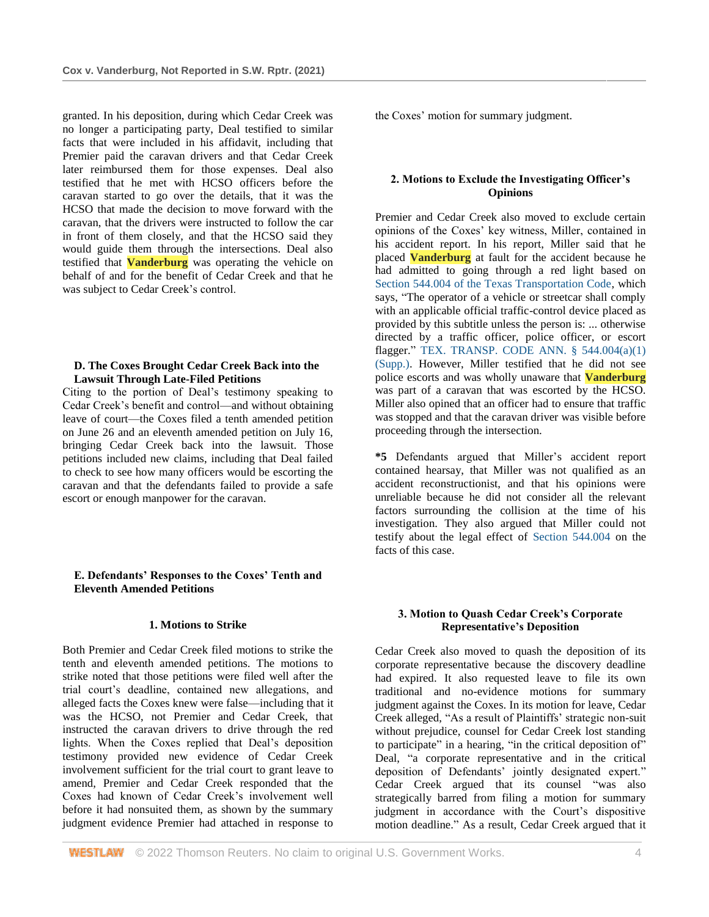granted. In his deposition, during which Cedar Creek was no longer a participating party, Deal testified to similar facts that were included in his affidavit, including that Premier paid the caravan drivers and that Cedar Creek later reimbursed them for those expenses. Deal also testified that he met with HCSO officers before the caravan started to go over the details, that it was the HCSO that made the decision to move forward with the caravan, that the drivers were instructed to follow the car in front of them closely, and that the HCSO said they would guide them through the intersections. Deal also testified that **Vanderburg** was operating the vehicle on behalf of and for the benefit of Cedar Creek and that he was subject to Cedar Creek's control.

#### **D. The Coxes Brought Cedar Creek Back into the Lawsuit Through Late-Filed Petitions**

Citing to the portion of Deal's testimony speaking to Cedar Creek's benefit and control—and without obtaining leave of court—the Coxes filed a tenth amended petition on June 26 and an eleventh amended petition on July 16, bringing Cedar Creek back into the lawsuit. Those petitions included new claims, including that Deal failed to check to see how many officers would be escorting the caravan and that the defendants failed to provide a safe escort or enough manpower for the caravan.

## **E. Defendants' Responses to the Coxes' Tenth and Eleventh Amended Petitions**

## **1. Motions to Strike**

Both Premier and Cedar Creek filed motions to strike the tenth and eleventh amended petitions. The motions to strike noted that those petitions were filed well after the trial court's deadline, contained new allegations, and alleged facts the Coxes knew were false—including that it was the HCSO, not Premier and Cedar Creek, that instructed the caravan drivers to drive through the red lights. When the Coxes replied that Deal's deposition testimony provided new evidence of Cedar Creek involvement sufficient for the trial court to grant leave to amend, Premier and Cedar Creek responded that the Coxes had known of Cedar Creek's involvement well before it had nonsuited them, as shown by the summary judgment evidence Premier had attached in response to the Coxes' motion for summary judgment.

## **2. Motions to Exclude the Investigating Officer's Opinions**

Premier and Cedar Creek also moved to exclude certain opinions of the Coxes' key witness, Miller, contained in his accident report. In his report, Miller said that he placed **Vanderburg** at fault for the accident because he had admitted to going through a red light based on [Section 544.004 of the Texas Transportation Code,](http://www.westlaw.com/Link/Document/FullText?findType=L&pubNum=1013482&cite=TXTRPS544.004&originatingDoc=Ib34fd8700fe311ecaa7cf4d9113e8a97&refType=LQ&originationContext=document&vr=3.0&rs=cblt1.0&transitionType=DocumentItem&contextData=(sc.Search)) which says, "The operator of a vehicle or streetcar shall comply with an applicable official traffic-control device placed as provided by this subtitle unless the person is: ... otherwise directed by a traffic officer, police officer, or escort flagger." [TEX. TRANSP. CODE ANN. § 544.004\(a\)\(1\)](http://www.westlaw.com/Link/Document/FullText?findType=L&pubNum=1013482&cite=TXTRPS544.004&originatingDoc=Ib34fd8700fe311ecaa7cf4d9113e8a97&refType=SP&originationContext=document&vr=3.0&rs=cblt1.0&transitionType=DocumentItem&contextData=(sc.Search)#co_pp_7b9b000044381)  [\(Supp.\).](http://www.westlaw.com/Link/Document/FullText?findType=L&pubNum=1013482&cite=TXTRPS544.004&originatingDoc=Ib34fd8700fe311ecaa7cf4d9113e8a97&refType=SP&originationContext=document&vr=3.0&rs=cblt1.0&transitionType=DocumentItem&contextData=(sc.Search)#co_pp_7b9b000044381) However, Miller testified that he did not see police escorts and was wholly unaware that **Vanderburg** was part of a caravan that was escorted by the HCSO. Miller also opined that an officer had to ensure that traffic was stopped and that the caravan driver was visible before proceeding through the intersection.

**\*5** Defendants argued that Miller's accident report contained hearsay, that Miller was not qualified as an accident reconstructionist, and that his opinions were unreliable because he did not consider all the relevant factors surrounding the collision at the time of his investigation. They also argued that Miller could not testify about the legal effect of [Section 544.004](http://www.westlaw.com/Link/Document/FullText?findType=L&pubNum=1013482&cite=TXTRPS544.004&originatingDoc=Ib34fd8700fe311ecaa7cf4d9113e8a97&refType=LQ&originationContext=document&vr=3.0&rs=cblt1.0&transitionType=DocumentItem&contextData=(sc.Search)) on the facts of this case.

### **3. Motion to Quash Cedar Creek's Corporate Representative's Deposition**

Cedar Creek also moved to quash the deposition of its corporate representative because the discovery deadline had expired. It also requested leave to file its own traditional and no-evidence motions for summary judgment against the Coxes. In its motion for leave, Cedar Creek alleged, "As a result of Plaintiffs' strategic non-suit without prejudice, counsel for Cedar Creek lost standing to participate" in a hearing, "in the critical deposition of" Deal, "a corporate representative and in the critical deposition of Defendants' jointly designated expert." Cedar Creek argued that its counsel "was also strategically barred from filing a motion for summary judgment in accordance with the Court's dispositive motion deadline." As a result, Cedar Creek argued that it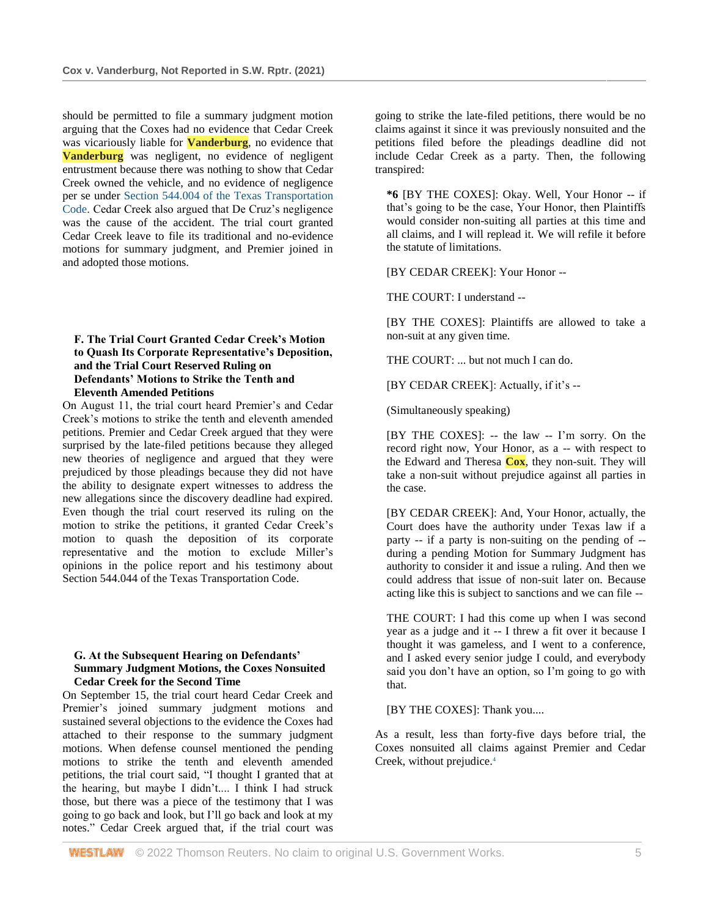should be permitted to file a summary judgment motion arguing that the Coxes had no evidence that Cedar Creek was vicariously liable for **Vanderburg**, no evidence that **Vanderburg** was negligent, no evidence of negligent entrustment because there was nothing to show that Cedar Creek owned the vehicle, and no evidence of negligence per se under [Section 544.004 of the Texas Transportation](http://www.westlaw.com/Link/Document/FullText?findType=L&pubNum=1013482&cite=TXTRPS544.004&originatingDoc=Ib34fd8700fe311ecaa7cf4d9113e8a97&refType=LQ&originationContext=document&vr=3.0&rs=cblt1.0&transitionType=DocumentItem&contextData=(sc.Search))  [Code.](http://www.westlaw.com/Link/Document/FullText?findType=L&pubNum=1013482&cite=TXTRPS544.004&originatingDoc=Ib34fd8700fe311ecaa7cf4d9113e8a97&refType=LQ&originationContext=document&vr=3.0&rs=cblt1.0&transitionType=DocumentItem&contextData=(sc.Search)) Cedar Creek also argued that De Cruz's negligence was the cause of the accident. The trial court granted Cedar Creek leave to file its traditional and no-evidence motions for summary judgment, and Premier joined in and adopted those motions.

## **F. The Trial Court Granted Cedar Creek's Motion to Quash Its Corporate Representative's Deposition, and the Trial Court Reserved Ruling on Defendants' Motions to Strike the Tenth and Eleventh Amended Petitions**

On August 11, the trial court heard Premier's and Cedar Creek's motions to strike the tenth and eleventh amended petitions. Premier and Cedar Creek argued that they were surprised by the late-filed petitions because they alleged new theories of negligence and argued that they were prejudiced by those pleadings because they did not have the ability to designate expert witnesses to address the new allegations since the discovery deadline had expired. Even though the trial court reserved its ruling on the motion to strike the petitions, it granted Cedar Creek's motion to quash the deposition of its corporate representative and the motion to exclude Miller's opinions in the police report and his testimony about Section 544.044 of the Texas Transportation Code.

#### **G. At the Subsequent Hearing on Defendants' Summary Judgment Motions, the Coxes Nonsuited Cedar Creek for the Second Time**

On September 15, the trial court heard Cedar Creek and Premier's joined summary judgment motions and sustained several objections to the evidence the Coxes had attached to their response to the summary judgment motions. When defense counsel mentioned the pending motions to strike the tenth and eleventh amended petitions, the trial court said, "I thought I granted that at the hearing, but maybe I didn't.... I think I had struck those, but there was a piece of the testimony that I was going to go back and look, but I'll go back and look at my notes." Cedar Creek argued that, if the trial court was going to strike the late-filed petitions, there would be no claims against it since it was previously nonsuited and the petitions filed before the pleadings deadline did not include Cedar Creek as a party. Then, the following transpired:

**\*6** [BY THE COXES]: Okay. Well, Your Honor -- if that's going to be the case, Your Honor, then Plaintiffs would consider non-suiting all parties at this time and all claims, and I will replead it. We will refile it before the statute of limitations.

[BY CEDAR CREEK]: Your Honor --

THE COURT: I understand --

[BY THE COXES]: Plaintiffs are allowed to take a non-suit at any given time.

THE COURT: ... but not much I can do.

[BY CEDAR CREEK]: Actually, if it's --

(Simultaneously speaking)

[BY THE COXES]: -- the law -- I'm sorry. On the record right now, Your Honor, as a -- with respect to the Edward and Theresa **Cox**, they non-suit. They will take a non-suit without prejudice against all parties in the case.

[BY CEDAR CREEK]: And, Your Honor, actually, the Court does have the authority under Texas law if a party -- if a party is non-suiting on the pending of - during a pending Motion for Summary Judgment has authority to consider it and issue a ruling. And then we could address that issue of non-suit later on. Because acting like this is subject to sanctions and we can file --

THE COURT: I had this come up when I was second year as a judge and it -- I threw a fit over it because I thought it was gameless, and I went to a conference, and I asked every senior judge I could, and everybody said you don't have an option, so I'm going to go with that.

[BY THE COXES]: Thank you....

As a result, less than forty-five days before trial, the Coxes nonsuited all claims against Premier and Cedar Creek, without prejudice.<sup>4</sup>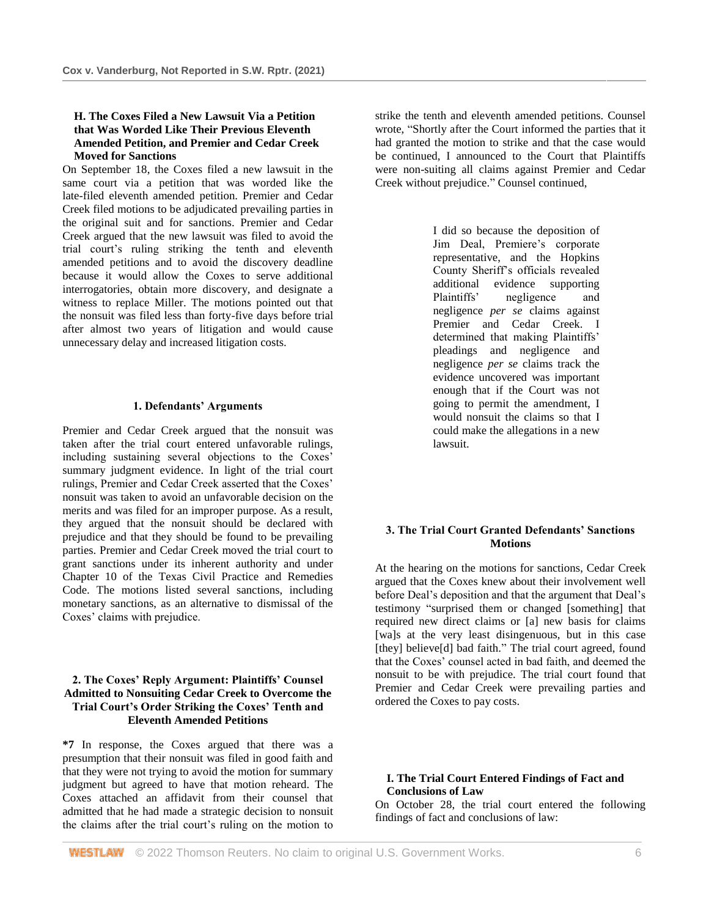## **H. The Coxes Filed a New Lawsuit Via a Petition that Was Worded Like Their Previous Eleventh Amended Petition, and Premier and Cedar Creek Moved for Sanctions**

On September 18, the Coxes filed a new lawsuit in the same court via a petition that was worded like the late-filed eleventh amended petition. Premier and Cedar Creek filed motions to be adjudicated prevailing parties in the original suit and for sanctions. Premier and Cedar Creek argued that the new lawsuit was filed to avoid the trial court's ruling striking the tenth and eleventh amended petitions and to avoid the discovery deadline because it would allow the Coxes to serve additional interrogatories, obtain more discovery, and designate a witness to replace Miller. The motions pointed out that the nonsuit was filed less than forty-five days before trial after almost two years of litigation and would cause unnecessary delay and increased litigation costs.

#### **1. Defendants' Arguments**

Premier and Cedar Creek argued that the nonsuit was taken after the trial court entered unfavorable rulings, including sustaining several objections to the Coxes' summary judgment evidence. In light of the trial court rulings, Premier and Cedar Creek asserted that the Coxes' nonsuit was taken to avoid an unfavorable decision on the merits and was filed for an improper purpose. As a result, they argued that the nonsuit should be declared with prejudice and that they should be found to be prevailing parties. Premier and Cedar Creek moved the trial court to grant sanctions under its inherent authority and under Chapter 10 of the Texas Civil Practice and Remedies Code. The motions listed several sanctions, including monetary sanctions, as an alternative to dismissal of the Coxes' claims with prejudice.

# **2. The Coxes' Reply Argument: Plaintiffs' Counsel Admitted to Nonsuiting Cedar Creek to Overcome the Trial Court's Order Striking the Coxes' Tenth and Eleventh Amended Petitions**

**\*7** In response, the Coxes argued that there was a presumption that their nonsuit was filed in good faith and that they were not trying to avoid the motion for summary judgment but agreed to have that motion reheard. The Coxes attached an affidavit from their counsel that admitted that he had made a strategic decision to nonsuit the claims after the trial court's ruling on the motion to strike the tenth and eleventh amended petitions. Counsel wrote, "Shortly after the Court informed the parties that it had granted the motion to strike and that the case would be continued, I announced to the Court that Plaintiffs were non-suiting all claims against Premier and Cedar Creek without prejudice." Counsel continued,

> I did so because the deposition of Jim Deal, Premiere's corporate representative, and the Hopkins County Sheriff's officials revealed additional evidence supporting Plaintiffs' negligence and negligence *per se* claims against Premier and Cedar Creek. I determined that making Plaintiffs' pleadings and negligence and negligence *per se* claims track the evidence uncovered was important enough that if the Court was not going to permit the amendment, I would nonsuit the claims so that I could make the allegations in a new lawsuit.

## **3. The Trial Court Granted Defendants' Sanctions Motions**

At the hearing on the motions for sanctions, Cedar Creek argued that the Coxes knew about their involvement well before Deal's deposition and that the argument that Deal's testimony "surprised them or changed [something] that required new direct claims or [a] new basis for claims [wa]s at the very least disingenuous, but in this case [they] believe[d] bad faith." The trial court agreed, found that the Coxes' counsel acted in bad faith, and deemed the nonsuit to be with prejudice. The trial court found that Premier and Cedar Creek were prevailing parties and ordered the Coxes to pay costs.

## **I. The Trial Court Entered Findings of Fact and Conclusions of Law**

On October 28, the trial court entered the following findings of fact and conclusions of law: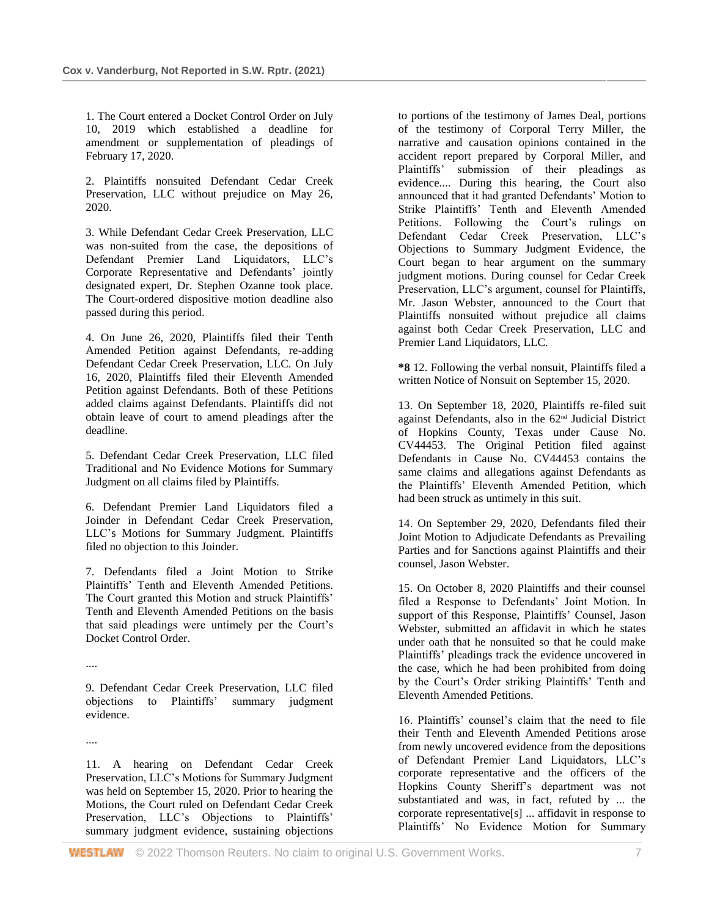1. The Court entered a Docket Control Order on July 10, 2019 which established a deadline for amendment or supplementation of pleadings of February 17, 2020.

2. Plaintiffs nonsuited Defendant Cedar Creek Preservation, LLC without prejudice on May 26, 2020.

3. While Defendant Cedar Creek Preservation, LLC was non-suited from the case, the depositions of Defendant Premier Land Liquidators, LLC's Corporate Representative and Defendants' jointly designated expert, Dr. Stephen Ozanne took place. The Court-ordered dispositive motion deadline also passed during this period.

4. On June 26, 2020, Plaintiffs filed their Tenth Amended Petition against Defendants, re-adding Defendant Cedar Creek Preservation, LLC. On July 16, 2020, Plaintiffs filed their Eleventh Amended Petition against Defendants. Both of these Petitions added claims against Defendants. Plaintiffs did not obtain leave of court to amend pleadings after the deadline.

5. Defendant Cedar Creek Preservation, LLC filed Traditional and No Evidence Motions for Summary Judgment on all claims filed by Plaintiffs.

6. Defendant Premier Land Liquidators filed a Joinder in Defendant Cedar Creek Preservation, LLC's Motions for Summary Judgment. Plaintiffs filed no objection to this Joinder.

7. Defendants filed a Joint Motion to Strike Plaintiffs' Tenth and Eleventh Amended Petitions. The Court granted this Motion and struck Plaintiffs' Tenth and Eleventh Amended Petitions on the basis that said pleadings were untimely per the Court's Docket Control Order.

....

9. Defendant Cedar Creek Preservation, LLC filed objections to Plaintiffs' summary judgment evidence.

....

11. A hearing on Defendant Cedar Creek Preservation, LLC's Motions for Summary Judgment was held on September 15, 2020. Prior to hearing the Motions, the Court ruled on Defendant Cedar Creek Preservation, LLC's Objections to Plaintiffs' summary judgment evidence, sustaining objections

to portions of the testimony of James Deal, portions of the testimony of Corporal Terry Miller, the narrative and causation opinions contained in the accident report prepared by Corporal Miller, and Plaintiffs' submission of their pleadings as evidence.... During this hearing, the Court also announced that it had granted Defendants' Motion to Strike Plaintiffs' Tenth and Eleventh Amended Petitions. Following the Court's rulings on Defendant Cedar Creek Preservation, LLC's Objections to Summary Judgment Evidence, the Court began to hear argument on the summary judgment motions. During counsel for Cedar Creek Preservation, LLC's argument, counsel for Plaintiffs, Mr. Jason Webster, announced to the Court that Plaintiffs nonsuited without prejudice all claims against both Cedar Creek Preservation, LLC and Premier Land Liquidators, LLC.

**\*8** 12. Following the verbal nonsuit, Plaintiffs filed a written Notice of Nonsuit on September 15, 2020.

13. On September 18, 2020, Plaintiffs re-filed suit against Defendants, also in the 62nd Judicial District of Hopkins County, Texas under Cause No. CV44453. The Original Petition filed against Defendants in Cause No. CV44453 contains the same claims and allegations against Defendants as the Plaintiffs' Eleventh Amended Petition, which had been struck as untimely in this suit.

14. On September 29, 2020, Defendants filed their Joint Motion to Adjudicate Defendants as Prevailing Parties and for Sanctions against Plaintiffs and their counsel, Jason Webster.

15. On October 8, 2020 Plaintiffs and their counsel filed a Response to Defendants' Joint Motion. In support of this Response, Plaintiffs' Counsel, Jason Webster, submitted an affidavit in which he states under oath that he nonsuited so that he could make Plaintiffs' pleadings track the evidence uncovered in the case, which he had been prohibited from doing by the Court's Order striking Plaintiffs' Tenth and Eleventh Amended Petitions.

16. Plaintiffs' counsel's claim that the need to file their Tenth and Eleventh Amended Petitions arose from newly uncovered evidence from the depositions of Defendant Premier Land Liquidators, LLC's corporate representative and the officers of the Hopkins County Sheriff's department was not substantiated and was, in fact, refuted by ... the corporate representative[s] ... affidavit in response to Plaintiffs' No Evidence Motion for Summary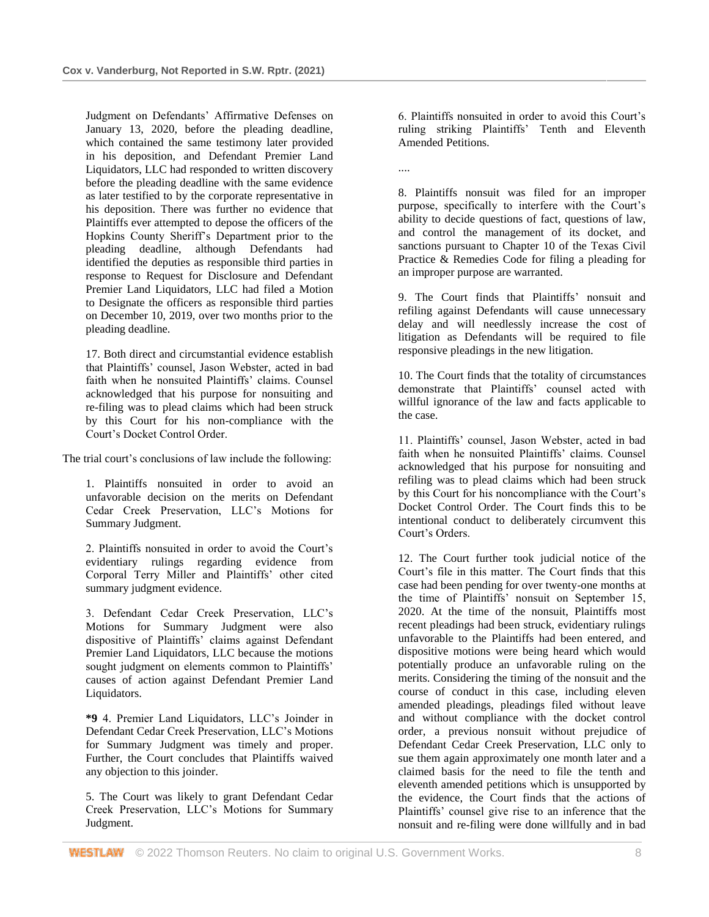Judgment on Defendants' Affirmative Defenses on January 13, 2020, before the pleading deadline, which contained the same testimony later provided in his deposition, and Defendant Premier Land Liquidators, LLC had responded to written discovery before the pleading deadline with the same evidence as later testified to by the corporate representative in his deposition. There was further no evidence that Plaintiffs ever attempted to depose the officers of the Hopkins County Sheriff's Department prior to the pleading deadline, although Defendants had identified the deputies as responsible third parties in response to Request for Disclosure and Defendant Premier Land Liquidators, LLC had filed a Motion to Designate the officers as responsible third parties on December 10, 2019, over two months prior to the pleading deadline.

17. Both direct and circumstantial evidence establish that Plaintiffs' counsel, Jason Webster, acted in bad faith when he nonsuited Plaintiffs' claims. Counsel acknowledged that his purpose for nonsuiting and re-filing was to plead claims which had been struck by this Court for his non-compliance with the Court's Docket Control Order.

The trial court's conclusions of law include the following:

1. Plaintiffs nonsuited in order to avoid an unfavorable decision on the merits on Defendant Cedar Creek Preservation, LLC's Motions for Summary Judgment.

2. Plaintiffs nonsuited in order to avoid the Court's evidentiary rulings regarding evidence from Corporal Terry Miller and Plaintiffs' other cited summary judgment evidence.

3. Defendant Cedar Creek Preservation, LLC's Motions for Summary Judgment were also dispositive of Plaintiffs' claims against Defendant Premier Land Liquidators, LLC because the motions sought judgment on elements common to Plaintiffs' causes of action against Defendant Premier Land Liquidators.

**\*9** 4. Premier Land Liquidators, LLC's Joinder in Defendant Cedar Creek Preservation, LLC's Motions for Summary Judgment was timely and proper. Further, the Court concludes that Plaintiffs waived any objection to this joinder.

5. The Court was likely to grant Defendant Cedar Creek Preservation, LLC's Motions for Summary Judgment.

6. Plaintiffs nonsuited in order to avoid this Court's ruling striking Plaintiffs' Tenth and Eleventh Amended Petitions.

....

8. Plaintiffs nonsuit was filed for an improper purpose, specifically to interfere with the Court's ability to decide questions of fact, questions of law, and control the management of its docket, and sanctions pursuant to Chapter 10 of the Texas Civil Practice & Remedies Code for filing a pleading for an improper purpose are warranted.

9. The Court finds that Plaintiffs' nonsuit and refiling against Defendants will cause unnecessary delay and will needlessly increase the cost of litigation as Defendants will be required to file responsive pleadings in the new litigation.

10. The Court finds that the totality of circumstances demonstrate that Plaintiffs' counsel acted with willful ignorance of the law and facts applicable to the case.

11. Plaintiffs' counsel, Jason Webster, acted in bad faith when he nonsuited Plaintiffs' claims. Counsel acknowledged that his purpose for nonsuiting and refiling was to plead claims which had been struck by this Court for his noncompliance with the Court's Docket Control Order. The Court finds this to be intentional conduct to deliberately circumvent this Court's Orders.

12. The Court further took judicial notice of the Court's file in this matter. The Court finds that this case had been pending for over twenty-one months at the time of Plaintiffs' nonsuit on September 15, 2020. At the time of the nonsuit, Plaintiffs most recent pleadings had been struck, evidentiary rulings unfavorable to the Plaintiffs had been entered, and dispositive motions were being heard which would potentially produce an unfavorable ruling on the merits. Considering the timing of the nonsuit and the course of conduct in this case, including eleven amended pleadings, pleadings filed without leave and without compliance with the docket control order, a previous nonsuit without prejudice of Defendant Cedar Creek Preservation, LLC only to sue them again approximately one month later and a claimed basis for the need to file the tenth and eleventh amended petitions which is unsupported by the evidence, the Court finds that the actions of Plaintiffs' counsel give rise to an inference that the nonsuit and re-filing were done willfully and in bad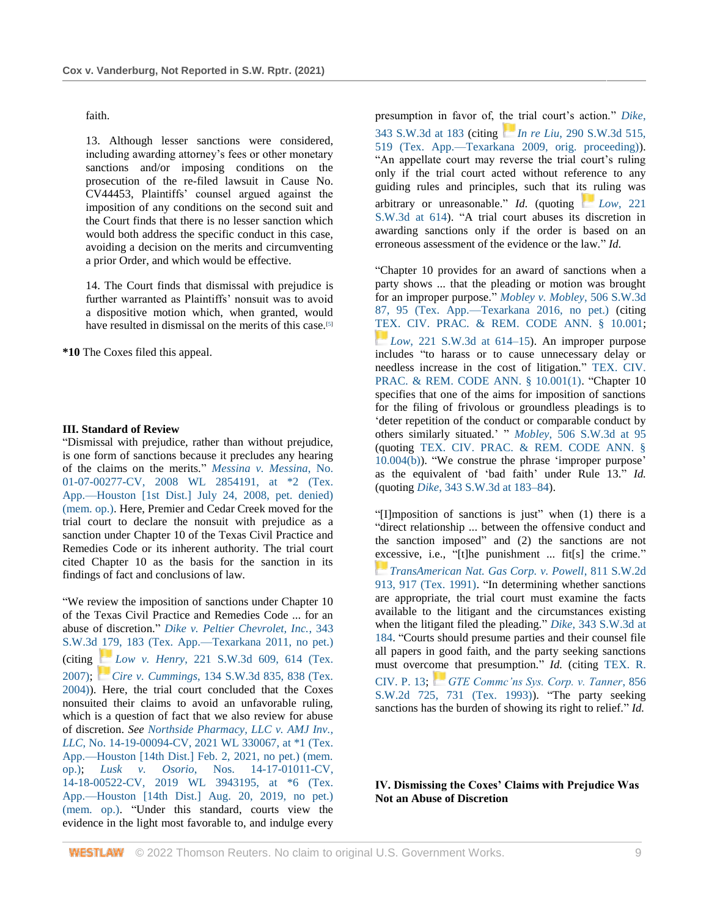faith.

13. Although lesser sanctions were considered, including awarding attorney's fees or other monetary sanctions and/or imposing conditions on the prosecution of the re-filed lawsuit in Cause No. CV44453, Plaintiffs' counsel argued against the imposition of any conditions on the second suit and the Court finds that there is no lesser sanction which would both address the specific conduct in this case, avoiding a decision on the merits and circumventing a prior Order, and which would be effective.

14. The Court finds that dismissal with prejudice is further warranted as Plaintiffs' nonsuit was to avoid a dispositive motion which, when granted, would have resulted in dismissal on the merits of this case.<sup>[5]</sup>

**\*10** The Coxes filed this appeal.

#### **III. Standard of Review**

"Dismissal with prejudice, rather than without prejudice, is one form of sanctions because it precludes any hearing of the claims on the merits." *[Messina v. Messina](http://www.westlaw.com/Link/Document/FullText?findType=Y&serNum=2016612783&pubNum=0000999&originatingDoc=Ib34fd8700fe311ecaa7cf4d9113e8a97&refType=RP&originationContext=document&vr=3.0&rs=cblt1.0&transitionType=DocumentItem&contextData=(sc.Search))*, No. 01-07-00277-CV, 2008 WL 2854191, at \*2 (Tex. [App.—Houston \[1st Dist.\] July 24, 2008, pet. denied\)](http://www.westlaw.com/Link/Document/FullText?findType=Y&serNum=2016612783&pubNum=0000999&originatingDoc=Ib34fd8700fe311ecaa7cf4d9113e8a97&refType=RP&originationContext=document&vr=3.0&rs=cblt1.0&transitionType=DocumentItem&contextData=(sc.Search))  [\(mem. op.\).](http://www.westlaw.com/Link/Document/FullText?findType=Y&serNum=2016612783&pubNum=0000999&originatingDoc=Ib34fd8700fe311ecaa7cf4d9113e8a97&refType=RP&originationContext=document&vr=3.0&rs=cblt1.0&transitionType=DocumentItem&contextData=(sc.Search)) Here, Premier and Cedar Creek moved for the trial court to declare the nonsuit with prejudice as a sanction under Chapter 10 of the Texas Civil Practice and Remedies Code or its inherent authority. The trial court cited Chapter 10 as the basis for the sanction in its findings of fact and conclusions of law.

"We review the imposition of sanctions under Chapter 10 of the Texas Civil Practice and Remedies Code ... for an abuse of discretion." *[Dike v. Peltier Chevrolet, Inc.](http://www.westlaw.com/Link/Document/FullText?findType=Y&serNum=2024927357&pubNum=0004644&originatingDoc=Ib34fd8700fe311ecaa7cf4d9113e8a97&refType=RP&fi=co_pp_sp_4644_183&originationContext=document&vr=3.0&rs=cblt1.0&transitionType=DocumentItem&contextData=(sc.Search)#co_pp_sp_4644_183)*, 343 [S.W.3d 179, 183 \(Tex. App.—Texarkana 2011, no pet.\)](http://www.westlaw.com/Link/Document/FullText?findType=Y&serNum=2024927357&pubNum=0004644&originatingDoc=Ib34fd8700fe311ecaa7cf4d9113e8a97&refType=RP&fi=co_pp_sp_4644_183&originationContext=document&vr=3.0&rs=cblt1.0&transitionType=DocumentItem&contextData=(sc.Search)#co_pp_sp_4644_183) (citing *[L](https://1.next.westlaw.com/Link/RelatedInformation/Flag?documentGuid=I5beeafd9ef4611dbb92c924f6a2d2928&transitionType=InlineKeyCiteFlags&originationContext=docHeaderFlag&Rank=1&ppcid=ae1f743d2432421aafa26111c89e77c1&contextData=(sc.Search))ow v. Henry*[, 221 S.W.3d 609, 614 \(Tex.](https://1.next.westlaw.com/Link/RelatedInformation/Flag?documentGuid=I5beeafd9ef4611dbb92c924f6a2d2928&transitionType=InlineKeyCiteFlags&originationContext=docHeaderFlag&Rank=1&ppcid=ae1f743d2432421aafa26111c89e77c1&contextData=(sc.Search))  [2007\);](http://www.westlaw.com/Link/Document/FullText?findType=Y&serNum=2011994531&pubNum=0004644&originatingDoc=Ib34fd8700fe311ecaa7cf4d9113e8a97&refType=RP&fi=co_pp_sp_4644_614&originationContext=document&vr=3.0&rs=cblt1.0&transitionType=DocumentItem&contextData=(sc.Search)#co_pp_sp_4644_614) *[C](https://1.next.westlaw.com/Link/RelatedInformation/Flag?documentGuid=Ia9e7186de7e211d99439b076ef9ec4de&transitionType=InlineKeyCiteFlags&originationContext=docHeaderFlag&Rank=1&ppcid=ae1f743d2432421aafa26111c89e77c1&contextData=(sc.Search))ire v. Cummings*[, 134 S.W.3d 835, 838 \(Tex.](https://1.next.westlaw.com/Link/RelatedInformation/Flag?documentGuid=Ia9e7186de7e211d99439b076ef9ec4de&transitionType=InlineKeyCiteFlags&originationContext=docHeaderFlag&Rank=1&ppcid=ae1f743d2432421aafa26111c89e77c1&contextData=(sc.Search))  [2004\)\)](http://www.westlaw.com/Link/Document/FullText?findType=Y&serNum=2004366339&pubNum=0004644&originatingDoc=Ib34fd8700fe311ecaa7cf4d9113e8a97&refType=RP&fi=co_pp_sp_4644_838&originationContext=document&vr=3.0&rs=cblt1.0&transitionType=DocumentItem&contextData=(sc.Search)#co_pp_sp_4644_838). Here, the trial court concluded that the Coxes nonsuited their claims to avoid an unfavorable ruling, which is a question of fact that we also review for abuse of discretion. *See [Northside Pharmacy, LLC v. AMJ Inv.,](http://www.westlaw.com/Link/Document/FullText?findType=Y&serNum=2052890178&pubNum=0000999&originatingDoc=Ib34fd8700fe311ecaa7cf4d9113e8a97&refType=RP&originationContext=document&vr=3.0&rs=cblt1.0&transitionType=DocumentItem&contextData=(sc.Search))  LLC*[, No. 14-19-00094-CV, 2021 WL 330067, at \\*1 \(Tex.](http://www.westlaw.com/Link/Document/FullText?findType=Y&serNum=2052890178&pubNum=0000999&originatingDoc=Ib34fd8700fe311ecaa7cf4d9113e8a97&refType=RP&originationContext=document&vr=3.0&rs=cblt1.0&transitionType=DocumentItem&contextData=(sc.Search))  [App.—Houston \[14th Dist.\] Feb. 2, 2021, no pet.\) \(mem.](http://www.westlaw.com/Link/Document/FullText?findType=Y&serNum=2052890178&pubNum=0000999&originatingDoc=Ib34fd8700fe311ecaa7cf4d9113e8a97&refType=RP&originationContext=document&vr=3.0&rs=cblt1.0&transitionType=DocumentItem&contextData=(sc.Search))  [op.\);](http://www.westlaw.com/Link/Document/FullText?findType=Y&serNum=2052890178&pubNum=0000999&originatingDoc=Ib34fd8700fe311ecaa7cf4d9113e8a97&refType=RP&originationContext=document&vr=3.0&rs=cblt1.0&transitionType=DocumentItem&contextData=(sc.Search)) *Lusk v. Osorio*[, Nos. 14-17-01011-CV,](http://www.westlaw.com/Link/Document/FullText?findType=Y&serNum=2048946276&pubNum=0000999&originatingDoc=Ib34fd8700fe311ecaa7cf4d9113e8a97&refType=RP&originationContext=document&vr=3.0&rs=cblt1.0&transitionType=DocumentItem&contextData=(sc.Search))  [14-18-00522-CV, 2019 WL 3943195, at \\*6 \(Tex.](http://www.westlaw.com/Link/Document/FullText?findType=Y&serNum=2048946276&pubNum=0000999&originatingDoc=Ib34fd8700fe311ecaa7cf4d9113e8a97&refType=RP&originationContext=document&vr=3.0&rs=cblt1.0&transitionType=DocumentItem&contextData=(sc.Search))  [App.—Houston \[14th Dist.\] Aug. 20, 2019, no pet.\)](http://www.westlaw.com/Link/Document/FullText?findType=Y&serNum=2048946276&pubNum=0000999&originatingDoc=Ib34fd8700fe311ecaa7cf4d9113e8a97&refType=RP&originationContext=document&vr=3.0&rs=cblt1.0&transitionType=DocumentItem&contextData=(sc.Search))  [\(mem. op.\).](http://www.westlaw.com/Link/Document/FullText?findType=Y&serNum=2048946276&pubNum=0000999&originatingDoc=Ib34fd8700fe311ecaa7cf4d9113e8a97&refType=RP&originationContext=document&vr=3.0&rs=cblt1.0&transitionType=DocumentItem&contextData=(sc.Search)) "Under this standard, courts view the evidence in the light most favorable to, and indulge every presumption in favor of, the trial court's action." *[Dike](http://www.westlaw.com/Link/Document/FullText?findType=Y&serNum=2024927357&pubNum=0004644&originatingDoc=Ib34fd8700fe311ecaa7cf4d9113e8a97&refType=RP&fi=co_pp_sp_4644_183&originationContext=document&vr=3.0&rs=cblt1.0&transitionType=DocumentItem&contextData=(sc.Search)#co_pp_sp_4644_183)*, [343 S.W.3d at 183](http://www.westlaw.com/Link/Document/FullText?findType=Y&serNum=2024927357&pubNum=0004644&originatingDoc=Ib34fd8700fe311ecaa7cf4d9113e8a97&refType=RP&fi=co_pp_sp_4644_183&originationContext=document&vr=3.0&rs=cblt1.0&transitionType=DocumentItem&contextData=(sc.Search)#co_pp_sp_4644_183) (citing *[I](https://1.next.westlaw.com/Link/RelatedInformation/Flag?documentGuid=I2ae4838955a411deb08de1b7506ad85b&transitionType=InlineKeyCiteFlags&originationContext=docHeaderFlag&Rank=1&ppcid=ae1f743d2432421aafa26111c89e77c1&contextData=(sc.Search))n re Liu*[, 290 S.W.3d 515,](https://1.next.westlaw.com/Link/RelatedInformation/Flag?documentGuid=I2ae4838955a411deb08de1b7506ad85b&transitionType=InlineKeyCiteFlags&originationContext=docHeaderFlag&Rank=1&ppcid=ae1f743d2432421aafa26111c89e77c1&contextData=(sc.Search))  [519 \(Tex. App.—Texarkana 2009, orig. proceeding\)\)](http://www.westlaw.com/Link/Document/FullText?findType=Y&serNum=2019075004&pubNum=0004644&originatingDoc=Ib34fd8700fe311ecaa7cf4d9113e8a97&refType=RP&fi=co_pp_sp_4644_519&originationContext=document&vr=3.0&rs=cblt1.0&transitionType=DocumentItem&contextData=(sc.Search)#co_pp_sp_4644_519). "An appellate court may reverse the trial court's ruling only if the trial court acted without reference to any guiding rules and principles, such that its ruling was arbitrary or unreasonable." *Id.* (quoting *[L](https://1.next.westlaw.com/Link/RelatedInformation/Flag?documentGuid=I5beeafd9ef4611dbb92c924f6a2d2928&transitionType=InlineKeyCiteFlags&originationContext=docHeaderFlag&Rank=1&ppcid=ae1f743d2432421aafa26111c89e77c1&contextData=(sc.Search))ow*[, 221](https://1.next.westlaw.com/Link/RelatedInformation/Flag?documentGuid=I5beeafd9ef4611dbb92c924f6a2d2928&transitionType=InlineKeyCiteFlags&originationContext=docHeaderFlag&Rank=1&ppcid=ae1f743d2432421aafa26111c89e77c1&contextData=(sc.Search))  [S.W.3d at 614\)](http://www.westlaw.com/Link/Document/FullText?findType=Y&serNum=2011994531&pubNum=0004644&originatingDoc=Ib34fd8700fe311ecaa7cf4d9113e8a97&refType=RP&fi=co_pp_sp_4644_614&originationContext=document&vr=3.0&rs=cblt1.0&transitionType=DocumentItem&contextData=(sc.Search)#co_pp_sp_4644_614). "A trial court abuses its discretion in awarding sanctions only if the order is based on an erroneous assessment of the evidence or the law." *Id.*

"Chapter 10 provides for an award of sanctions when a party shows ... that the pleading or motion was brought for an improper purpose." *[Mobley v. Mobley](http://www.westlaw.com/Link/Document/FullText?findType=Y&serNum=2040178138&pubNum=0004644&originatingDoc=Ib34fd8700fe311ecaa7cf4d9113e8a97&refType=RP&fi=co_pp_sp_4644_95&originationContext=document&vr=3.0&rs=cblt1.0&transitionType=DocumentItem&contextData=(sc.Search)#co_pp_sp_4644_95)*, 506 S.W.3d [87, 95 \(Tex. App.—Texarkana 2016, no pet.\)](http://www.westlaw.com/Link/Document/FullText?findType=Y&serNum=2040178138&pubNum=0004644&originatingDoc=Ib34fd8700fe311ecaa7cf4d9113e8a97&refType=RP&fi=co_pp_sp_4644_95&originationContext=document&vr=3.0&rs=cblt1.0&transitionType=DocumentItem&contextData=(sc.Search)#co_pp_sp_4644_95) (citing [TEX. CIV. PRAC. & REM. CODE ANN. § 10.001;](http://www.westlaw.com/Link/Document/FullText?findType=L&pubNum=1000170&cite=TXCPS10.001&originatingDoc=Ib34fd8700fe311ecaa7cf4d9113e8a97&refType=LQ&originationContext=document&vr=3.0&rs=cblt1.0&transitionType=DocumentItem&contextData=(sc.Search)) *[L](https://1.next.westlaw.com/Link/RelatedInformation/Flag?documentGuid=I5beeafd9ef4611dbb92c924f6a2d2928&transitionType=InlineKeyCiteFlags&originationContext=docHeaderFlag&Rank=1&ppcid=ae1f743d2432421aafa26111c89e77c1&contextData=(sc.Search))ow*[, 221 S.W.3d at 614–15\)](https://1.next.westlaw.com/Link/RelatedInformation/Flag?documentGuid=I5beeafd9ef4611dbb92c924f6a2d2928&transitionType=InlineKeyCiteFlags&originationContext=docHeaderFlag&Rank=1&ppcid=ae1f743d2432421aafa26111c89e77c1&contextData=(sc.Search)). An improper purpose includes "to harass or to cause unnecessary delay or needless increase in the cost of litigation." [TEX. CIV.](http://www.westlaw.com/Link/Document/FullText?findType=L&pubNum=1000170&cite=TXCPS10.001&originatingDoc=Ib34fd8700fe311ecaa7cf4d9113e8a97&refType=SP&originationContext=document&vr=3.0&rs=cblt1.0&transitionType=DocumentItem&contextData=(sc.Search)#co_pp_f1c50000821b0)  [PRAC. & REM. CODE ANN. § 10.001\(1\).](http://www.westlaw.com/Link/Document/FullText?findType=L&pubNum=1000170&cite=TXCPS10.001&originatingDoc=Ib34fd8700fe311ecaa7cf4d9113e8a97&refType=SP&originationContext=document&vr=3.0&rs=cblt1.0&transitionType=DocumentItem&contextData=(sc.Search)#co_pp_f1c50000821b0) "Chapter 10 specifies that one of the aims for imposition of sanctions for the filing of frivolous or groundless pleadings is to 'deter repetition of the conduct or comparable conduct by others similarly situated.' " *Mobley*[, 506 S.W.3d at 95](http://www.westlaw.com/Link/Document/FullText?findType=Y&serNum=2040178138&pubNum=0004644&originatingDoc=Ib34fd8700fe311ecaa7cf4d9113e8a97&refType=RP&fi=co_pp_sp_4644_95&originationContext=document&vr=3.0&rs=cblt1.0&transitionType=DocumentItem&contextData=(sc.Search)#co_pp_sp_4644_95) (quoting [TEX. CIV. PRAC. & REM. CODE ANN. §](http://www.westlaw.com/Link/Document/FullText?findType=L&pubNum=1000170&cite=TXCPS10.004&originatingDoc=Ib34fd8700fe311ecaa7cf4d9113e8a97&refType=SP&originationContext=document&vr=3.0&rs=cblt1.0&transitionType=DocumentItem&contextData=(sc.Search)#co_pp_a83b000018c76)  [10.004\(b\)\)](http://www.westlaw.com/Link/Document/FullText?findType=L&pubNum=1000170&cite=TXCPS10.004&originatingDoc=Ib34fd8700fe311ecaa7cf4d9113e8a97&refType=SP&originationContext=document&vr=3.0&rs=cblt1.0&transitionType=DocumentItem&contextData=(sc.Search)#co_pp_a83b000018c76). "We construe the phrase 'improper purpose' as the equivalent of 'bad faith' under Rule 13." *Id.* (quoting *Dike*[, 343 S.W.3d at 183–84\)](http://www.westlaw.com/Link/Document/FullText?findType=Y&serNum=2024927357&pubNum=0004644&originatingDoc=Ib34fd8700fe311ecaa7cf4d9113e8a97&refType=RP&fi=co_pp_sp_4644_183&originationContext=document&vr=3.0&rs=cblt1.0&transitionType=DocumentItem&contextData=(sc.Search)#co_pp_sp_4644_183).

"[I]mposition of sanctions is just" when (1) there is a "direct relationship ... between the offensive conduct and the sanction imposed" and (2) the sanctions are not excessive, i.e., "[t]he punishment ... fit[s] the crime." *[TransAmerican Nat. Gas Corp. v. Powell](https://1.next.westlaw.com/Link/RelatedInformation/Flag?documentGuid=Idee0d5a9e7d411d98ac8f235252e36df&transitionType=InlineKeyCiteFlags&originationContext=docHeaderFlag&Rank=1&ppcid=ae1f743d2432421aafa26111c89e77c1&contextData=(sc.Search))*, 811 S.W.2d [913, 917 \(Tex. 1991\).](http://www.westlaw.com/Link/Document/FullText?findType=Y&serNum=1991112451&pubNum=0000713&originatingDoc=Ib34fd8700fe311ecaa7cf4d9113e8a97&refType=RP&fi=co_pp_sp_713_917&originationContext=document&vr=3.0&rs=cblt1.0&transitionType=DocumentItem&contextData=(sc.Search)#co_pp_sp_713_917) "In determining whether sanctions are appropriate, the trial court must examine the facts available to the litigant and the circumstances existing when the litigant filed the pleading." *Dike*[, 343 S.W.3d at](http://www.westlaw.com/Link/Document/FullText?findType=Y&serNum=2024927357&pubNum=0004644&originatingDoc=Ib34fd8700fe311ecaa7cf4d9113e8a97&refType=RP&fi=co_pp_sp_4644_184&originationContext=document&vr=3.0&rs=cblt1.0&transitionType=DocumentItem&contextData=(sc.Search)#co_pp_sp_4644_184)  [184.](http://www.westlaw.com/Link/Document/FullText?findType=Y&serNum=2024927357&pubNum=0004644&originatingDoc=Ib34fd8700fe311ecaa7cf4d9113e8a97&refType=RP&fi=co_pp_sp_4644_184&originationContext=document&vr=3.0&rs=cblt1.0&transitionType=DocumentItem&contextData=(sc.Search)#co_pp_sp_4644_184) "Courts should presume parties and their counsel file all papers in good faith, and the party seeking sanctions must overcome that presumption." *Id.* (citing [TEX. R.](http://www.westlaw.com/Link/Document/FullText?findType=L&pubNum=1003817&cite=TXRRCPR13&originatingDoc=Ib34fd8700fe311ecaa7cf4d9113e8a97&refType=LQ&originationContext=document&vr=3.0&rs=cblt1.0&transitionType=DocumentItem&contextData=(sc.Search))  [CIV. P. 13;](http://www.westlaw.com/Link/Document/FullText?findType=L&pubNum=1003817&cite=TXRRCPR13&originatingDoc=Ib34fd8700fe311ecaa7cf4d9113e8a97&refType=LQ&originationContext=document&vr=3.0&rs=cblt1.0&transitionType=DocumentItem&contextData=(sc.Search)) *[GTE Commc'ns Sys. Corp. v. Tanner](https://1.next.westlaw.com/Link/RelatedInformation/Flag?documentGuid=I41967d7be7c711d983e7e9deff98dc6f&transitionType=InlineKeyCiteFlags&originationContext=docHeaderFlag&Rank=1&ppcid=ae1f743d2432421aafa26111c89e77c1&contextData=(sc.Search))*, 856 [S.W.2d 725, 731 \(Tex. 1993\)\)](http://www.westlaw.com/Link/Document/FullText?findType=Y&serNum=1993133910&pubNum=0000713&originatingDoc=Ib34fd8700fe311ecaa7cf4d9113e8a97&refType=RP&fi=co_pp_sp_713_731&originationContext=document&vr=3.0&rs=cblt1.0&transitionType=DocumentItem&contextData=(sc.Search)#co_pp_sp_713_731). "The party seeking sanctions has the burden of showing its right to relief." *Id.*

**IV. Dismissing the Coxes' Claims with Prejudice Was Not an Abuse of Discretion**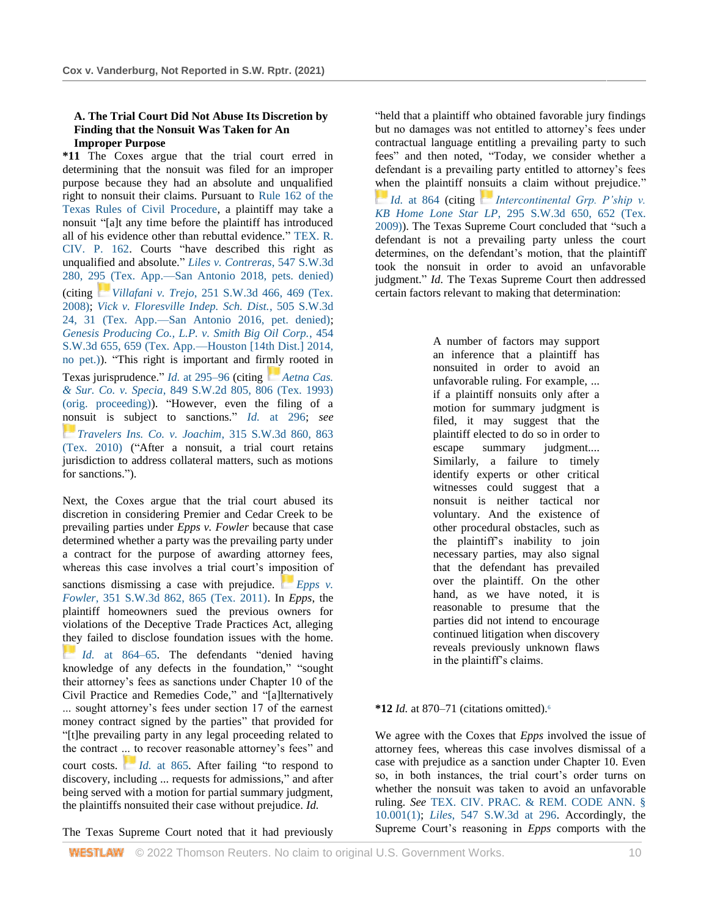## **A. The Trial Court Did Not Abuse Its Discretion by Finding that the Nonsuit Was Taken for An Improper Purpose**

**\*11** The Coxes argue that the trial court erred in determining that the nonsuit was filed for an improper purpose because they had an absolute and unqualified right to nonsuit their claims. Pursuant to [Rule 162 of the](http://www.westlaw.com/Link/Document/FullText?findType=L&pubNum=1003817&cite=TXRRCPR162&originatingDoc=Ib34fd8700fe311ecaa7cf4d9113e8a97&refType=LQ&originationContext=document&vr=3.0&rs=cblt1.0&transitionType=DocumentItem&contextData=(sc.Search))  [Texas Rules of Civil Procedure,](http://www.westlaw.com/Link/Document/FullText?findType=L&pubNum=1003817&cite=TXRRCPR162&originatingDoc=Ib34fd8700fe311ecaa7cf4d9113e8a97&refType=LQ&originationContext=document&vr=3.0&rs=cblt1.0&transitionType=DocumentItem&contextData=(sc.Search)) a plaintiff may take a nonsuit "[a]t any time before the plaintiff has introduced all of his evidence other than rebuttal evidence." [TEX. R.](http://www.westlaw.com/Link/Document/FullText?findType=L&pubNum=1003817&cite=TXRRCPR162&originatingDoc=Ib34fd8700fe311ecaa7cf4d9113e8a97&refType=LQ&originationContext=document&vr=3.0&rs=cblt1.0&transitionType=DocumentItem&contextData=(sc.Search))  [CIV. P. 162.](http://www.westlaw.com/Link/Document/FullText?findType=L&pubNum=1003817&cite=TXRRCPR162&originatingDoc=Ib34fd8700fe311ecaa7cf4d9113e8a97&refType=LQ&originationContext=document&vr=3.0&rs=cblt1.0&transitionType=DocumentItem&contextData=(sc.Search)) Courts "have described this right as unqualified and absolute." *[Liles v. Contreras](http://www.westlaw.com/Link/Document/FullText?findType=Y&serNum=2044097005&pubNum=0004644&originatingDoc=Ib34fd8700fe311ecaa7cf4d9113e8a97&refType=RP&fi=co_pp_sp_4644_295&originationContext=document&vr=3.0&rs=cblt1.0&transitionType=DocumentItem&contextData=(sc.Search)#co_pp_sp_4644_295)*, 547 S.W.3d [280, 295 \(Tex. App.—San Antonio 2018, pets. denied\)](http://www.westlaw.com/Link/Document/FullText?findType=Y&serNum=2044097005&pubNum=0004644&originatingDoc=Ib34fd8700fe311ecaa7cf4d9113e8a97&refType=RP&fi=co_pp_sp_4644_295&originationContext=document&vr=3.0&rs=cblt1.0&transitionType=DocumentItem&contextData=(sc.Search)#co_pp_sp_4644_295) (citing *[V](https://1.next.westlaw.com/Link/RelatedInformation/Flag?documentGuid=I9588fc2b0d6a11ddb6a3a099756c05b7&transitionType=InlineKeyCiteFlags&originationContext=docHeaderFlag&Rank=1&ppcid=ae1f743d2432421aafa26111c89e77c1&contextData=(sc.Search))illafani v. Trejo*[, 251 S.W.3d 466, 469 \(Tex.](https://1.next.westlaw.com/Link/RelatedInformation/Flag?documentGuid=I9588fc2b0d6a11ddb6a3a099756c05b7&transitionType=InlineKeyCiteFlags&originationContext=docHeaderFlag&Rank=1&ppcid=ae1f743d2432421aafa26111c89e77c1&contextData=(sc.Search))  [2008\);](http://www.westlaw.com/Link/Document/FullText?findType=Y&serNum=2015828023&pubNum=0004644&originatingDoc=Ib34fd8700fe311ecaa7cf4d9113e8a97&refType=RP&fi=co_pp_sp_4644_469&originationContext=document&vr=3.0&rs=cblt1.0&transitionType=DocumentItem&contextData=(sc.Search)#co_pp_sp_4644_469) *[Vick v. Floresville Indep. Sch. Dist.](http://www.westlaw.com/Link/Document/FullText?findType=Y&serNum=2039688840&pubNum=0004644&originatingDoc=Ib34fd8700fe311ecaa7cf4d9113e8a97&refType=RP&fi=co_pp_sp_4644_31&originationContext=document&vr=3.0&rs=cblt1.0&transitionType=DocumentItem&contextData=(sc.Search)#co_pp_sp_4644_31)*, 505 S.W.3d [24, 31 \(Tex. App.—San Antonio 2016, pet. denied\);](http://www.westlaw.com/Link/Document/FullText?findType=Y&serNum=2039688840&pubNum=0004644&originatingDoc=Ib34fd8700fe311ecaa7cf4d9113e8a97&refType=RP&fi=co_pp_sp_4644_31&originationContext=document&vr=3.0&rs=cblt1.0&transitionType=DocumentItem&contextData=(sc.Search)#co_pp_sp_4644_31) *[Genesis Producing Co., L.P. v. Smith Big Oil Corp.](http://www.westlaw.com/Link/Document/FullText?findType=Y&serNum=2035157156&pubNum=0004644&originatingDoc=Ib34fd8700fe311ecaa7cf4d9113e8a97&refType=RP&fi=co_pp_sp_4644_659&originationContext=document&vr=3.0&rs=cblt1.0&transitionType=DocumentItem&contextData=(sc.Search)#co_pp_sp_4644_659)*, 454 [S.W.3d 655, 659 \(Tex. App.—Houston \[14th Dist.\] 2014,](http://www.westlaw.com/Link/Document/FullText?findType=Y&serNum=2035157156&pubNum=0004644&originatingDoc=Ib34fd8700fe311ecaa7cf4d9113e8a97&refType=RP&fi=co_pp_sp_4644_659&originationContext=document&vr=3.0&rs=cblt1.0&transitionType=DocumentItem&contextData=(sc.Search)#co_pp_sp_4644_659)  [no pet.\)\)](http://www.westlaw.com/Link/Document/FullText?findType=Y&serNum=2035157156&pubNum=0004644&originatingDoc=Ib34fd8700fe311ecaa7cf4d9113e8a97&refType=RP&fi=co_pp_sp_4644_659&originationContext=document&vr=3.0&rs=cblt1.0&transitionType=DocumentItem&contextData=(sc.Search)#co_pp_sp_4644_659). "This right is important and firmly rooted in Texas jurisprudence." *Id.* [at 295–96](http://www.westlaw.com/Link/Document/FullText?findType=Y&serNum=2044097005&pubNum=0004644&originatingDoc=Ib34fd8700fe311ecaa7cf4d9113e8a97&refType=RP&fi=co_pp_sp_4644_295&originationContext=document&vr=3.0&rs=cblt1.0&transitionType=DocumentItem&contextData=(sc.Search)#co_pp_sp_4644_295) (citing *Aetna Cas. & Sur. Co. v. Specia*[, 849 S.W.2d 805, 806 \(Tex. 1993\)](http://www.westlaw.com/Link/Document/FullText?findType=Y&serNum=1993074166&pubNum=0000713&originatingDoc=Ib34fd8700fe311ecaa7cf4d9113e8a97&refType=RP&fi=co_pp_sp_713_806&originationContext=document&vr=3.0&rs=cblt1.0&transitionType=DocumentItem&contextData=(sc.Search)#co_pp_sp_713_806)  [\(orig. proceeding\)\)](http://www.westlaw.com/Link/Document/FullText?findType=Y&serNum=1993074166&pubNum=0000713&originatingDoc=Ib34fd8700fe311ecaa7cf4d9113e8a97&refType=RP&fi=co_pp_sp_713_806&originationContext=document&vr=3.0&rs=cblt1.0&transitionType=DocumentItem&contextData=(sc.Search)#co_pp_sp_713_806). "However, even the filing of a nonsuit is subject to sanctions." *Id.* [at 296;](http://www.westlaw.com/Link/Document/FullText?findType=Y&serNum=2044097005&pubNum=0004644&originatingDoc=Ib34fd8700fe311ecaa7cf4d9113e8a97&refType=RP&fi=co_pp_sp_4644_296&originationContext=document&vr=3.0&rs=cblt1.0&transitionType=DocumentItem&contextData=(sc.Search)#co_pp_sp_4644_296) *see [Travelers Ins. Co. v. Joachim](https://1.next.westlaw.com/Link/RelatedInformation/Flag?documentGuid=I6ed096265f6a11df9988d233d23fe599&transitionType=InlineKeyCiteFlags&originationContext=docHeaderFlag&Rank=1&ppcid=ae1f743d2432421aafa26111c89e77c1&contextData=(sc.Search))*, 315 S.W.3d 860, 863 [\(Tex. 2010\)](http://www.westlaw.com/Link/Document/FullText?findType=Y&serNum=2021994197&pubNum=0004644&originatingDoc=Ib34fd8700fe311ecaa7cf4d9113e8a97&refType=RP&fi=co_pp_sp_4644_863&originationContext=document&vr=3.0&rs=cblt1.0&transitionType=DocumentItem&contextData=(sc.Search)#co_pp_sp_4644_863) ("After a nonsuit, a trial court retains jurisdiction to address collateral matters, such as motions for sanctions.").

Next, the Coxes argue that the trial court abused its discretion in considering Premier and Cedar Creek to be prevailing parties under *Epps v. Fowler* because that case determined whether a party was the prevailing party under a contract for the purpose of awarding attorney fees, whereas this case involves a trial court's imposition of sanctions dismissing a case with prejudice. *Epps v. Fowler*[, 351 S.W.3d 862, 865 \(Tex. 2011\).](http://www.westlaw.com/Link/Document/FullText?findType=Y&serNum=2025963685&pubNum=0004644&originatingDoc=Ib34fd8700fe311ecaa7cf4d9113e8a97&refType=RP&fi=co_pp_sp_4644_865&originationContext=document&vr=3.0&rs=cblt1.0&transitionType=DocumentItem&contextData=(sc.Search)#co_pp_sp_4644_865) In *Epps*, the plaintiff homeowners sued the previous owners for violations of the Deceptive Trade Practices Act, alleging they failed to disclose foundation issues with the home. *[I](https://1.next.westlaw.com/Link/RelatedInformation/Flag?documentGuid=Iaaf125d2d21d11e0bc27967e57e99458&transitionType=InlineKeyCiteFlags&originationContext=docHeaderFlag&Rank=1&ppcid=ae1f743d2432421aafa26111c89e77c1&contextData=(sc.Search))d.* [at 864–65.](https://1.next.westlaw.com/Link/RelatedInformation/Flag?documentGuid=Iaaf125d2d21d11e0bc27967e57e99458&transitionType=InlineKeyCiteFlags&originationContext=docHeaderFlag&Rank=1&ppcid=ae1f743d2432421aafa26111c89e77c1&contextData=(sc.Search)) The defendants "denied having knowledge of any defects in the foundation," "sought their attorney's fees as sanctions under Chapter 10 of the Civil Practice and Remedies Code," and "[a]lternatively ... sought attorney's fees under section 17 of the earnest money contract signed by the parties" that provided for "[t]he prevailing party in any legal proceeding related to the contract ... to recover reasonable attorney's fees" and court costs. *[I](https://1.next.westlaw.com/Link/RelatedInformation/Flag?documentGuid=Iaaf125d2d21d11e0bc27967e57e99458&transitionType=InlineKeyCiteFlags&originationContext=docHeaderFlag&Rank=1&ppcid=ae1f743d2432421aafa26111c89e77c1&contextData=(sc.Search))d.* [at 865.](https://1.next.westlaw.com/Link/RelatedInformation/Flag?documentGuid=Iaaf125d2d21d11e0bc27967e57e99458&transitionType=InlineKeyCiteFlags&originationContext=docHeaderFlag&Rank=1&ppcid=ae1f743d2432421aafa26111c89e77c1&contextData=(sc.Search)) After failing "to respond to discovery, including ... requests for admissions," and after being served with a motion for partial summary judgment, the plaintiffs nonsuited their case without prejudice. *Id.*

The Texas Supreme Court noted that it had previously

"held that a plaintiff who obtained favorable jury findings but no damages was not entitled to attorney's fees under contractual language entitling a prevailing party to such fees" and then noted, "Today, we consider whether a defendant is a prevailing party entitled to attorney's fees when the plaintiff nonsuits a claim without prejudice." *[I](https://1.next.westlaw.com/Link/RelatedInformation/Flag?documentGuid=Iaaf125d2d21d11e0bc27967e57e99458&transitionType=InlineKeyCiteFlags&originationContext=docHeaderFlag&Rank=1&ppcid=ae1f743d2432421aafa26111c89e77c1&contextData=(sc.Search))d.* [at 864](https://1.next.westlaw.com/Link/RelatedInformation/Flag?documentGuid=Iaaf125d2d21d11e0bc27967e57e99458&transitionType=InlineKeyCiteFlags&originationContext=docHeaderFlag&Rank=1&ppcid=ae1f743d2432421aafa26111c89e77c1&contextData=(sc.Search)) (citing *Intercontinental Grp. P'ship v. KB Home Lone Star LP*[, 295 S.W.3d 650, 652 \(Tex.](http://www.westlaw.com/Link/Document/FullText?findType=Y&serNum=2019703267&pubNum=0004644&originatingDoc=Ib34fd8700fe311ecaa7cf4d9113e8a97&refType=RP&fi=co_pp_sp_4644_652&originationContext=document&vr=3.0&rs=cblt1.0&transitionType=DocumentItem&contextData=(sc.Search)#co_pp_sp_4644_652)  [2009\)\)](http://www.westlaw.com/Link/Document/FullText?findType=Y&serNum=2019703267&pubNum=0004644&originatingDoc=Ib34fd8700fe311ecaa7cf4d9113e8a97&refType=RP&fi=co_pp_sp_4644_652&originationContext=document&vr=3.0&rs=cblt1.0&transitionType=DocumentItem&contextData=(sc.Search)#co_pp_sp_4644_652). The Texas Supreme Court concluded that "such a defendant is not a prevailing party unless the court determines, on the defendant's motion, that the plaintiff took the nonsuit in order to avoid an unfavorable judgment." *Id.* The Texas Supreme Court then addressed certain factors relevant to making that determination:

> A number of factors may support an inference that a plaintiff has nonsuited in order to avoid an unfavorable ruling. For example, ... if a plaintiff nonsuits only after a motion for summary judgment is filed, it may suggest that the plaintiff elected to do so in order to escape summary judgment.... Similarly, a failure to timely identify experts or other critical witnesses could suggest that a nonsuit is neither tactical nor voluntary. And the existence of other procedural obstacles, such as the plaintiff's inability to join necessary parties, may also signal that the defendant has prevailed over the plaintiff. On the other hand, as we have noted, it is reasonable to presume that the parties did not intend to encourage continued litigation when discovery reveals previously unknown flaws in the plaintiff's claims.

#### **\*12** *Id.* at 870–71 (citations omitted).<sup>6</sup>

We agree with the Coxes that *Epps* involved the issue of attorney fees, whereas this case involves dismissal of a case with prejudice as a sanction under Chapter 10. Even so, in both instances, the trial court's order turns on whether the nonsuit was taken to avoid an unfavorable ruling. *See* [TEX. CIV. PRAC. & REM. CODE ANN. §](http://www.westlaw.com/Link/Document/FullText?findType=L&pubNum=1000170&cite=TXCPS10.001&originatingDoc=Ib34fd8700fe311ecaa7cf4d9113e8a97&refType=SP&originationContext=document&vr=3.0&rs=cblt1.0&transitionType=DocumentItem&contextData=(sc.Search)#co_pp_f1c50000821b0)  [10.001\(1\);](http://www.westlaw.com/Link/Document/FullText?findType=L&pubNum=1000170&cite=TXCPS10.001&originatingDoc=Ib34fd8700fe311ecaa7cf4d9113e8a97&refType=SP&originationContext=document&vr=3.0&rs=cblt1.0&transitionType=DocumentItem&contextData=(sc.Search)#co_pp_f1c50000821b0) *Liles*[, 547 S.W.3d at 296.](http://www.westlaw.com/Link/Document/FullText?findType=Y&serNum=2044097005&pubNum=0004644&originatingDoc=Ib34fd8700fe311ecaa7cf4d9113e8a97&refType=RP&fi=co_pp_sp_4644_296&originationContext=document&vr=3.0&rs=cblt1.0&transitionType=DocumentItem&contextData=(sc.Search)#co_pp_sp_4644_296) Accordingly, the Supreme Court's reasoning in *Epps* comports with the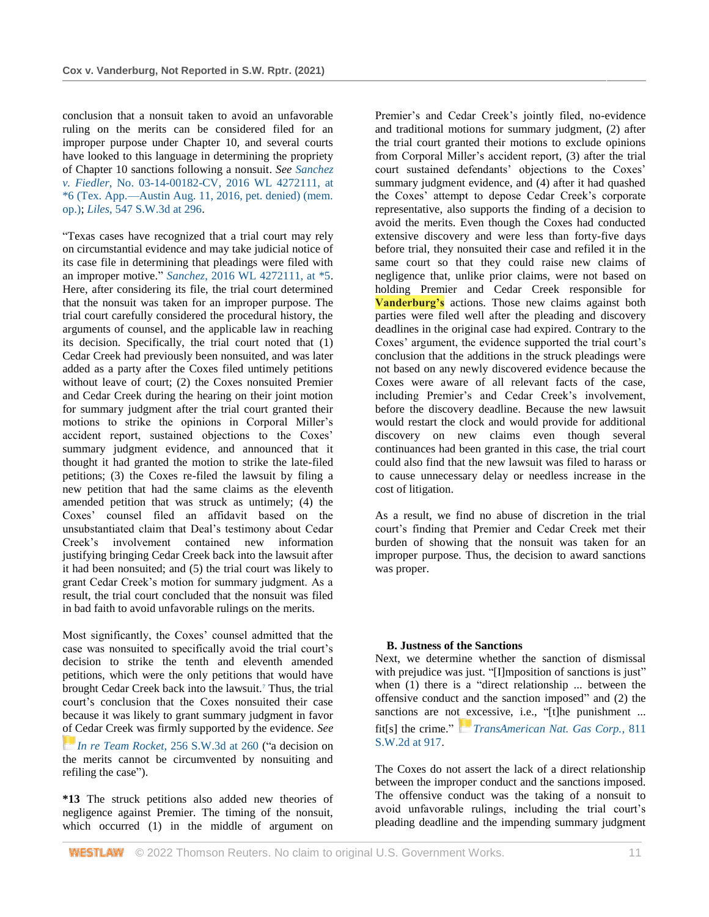conclusion that a nonsuit taken to avoid an unfavorable ruling on the merits can be considered filed for an improper purpose under Chapter 10, and several courts have looked to this language in determining the propriety of Chapter 10 sanctions following a nonsuit. *See [Sanchez](http://www.westlaw.com/Link/Document/FullText?findType=Y&serNum=2039586083&pubNum=0000999&originatingDoc=Ib34fd8700fe311ecaa7cf4d9113e8a97&refType=RP&originationContext=document&vr=3.0&rs=cblt1.0&transitionType=DocumentItem&contextData=(sc.Search))  v. Fiedler*[, No. 03-14-00182-CV, 2016 WL 4272111, at](http://www.westlaw.com/Link/Document/FullText?findType=Y&serNum=2039586083&pubNum=0000999&originatingDoc=Ib34fd8700fe311ecaa7cf4d9113e8a97&refType=RP&originationContext=document&vr=3.0&rs=cblt1.0&transitionType=DocumentItem&contextData=(sc.Search))  [\\*6 \(Tex. App.—Austin Aug. 11, 2016, pet. denied\) \(mem.](http://www.westlaw.com/Link/Document/FullText?findType=Y&serNum=2039586083&pubNum=0000999&originatingDoc=Ib34fd8700fe311ecaa7cf4d9113e8a97&refType=RP&originationContext=document&vr=3.0&rs=cblt1.0&transitionType=DocumentItem&contextData=(sc.Search))  [op.\);](http://www.westlaw.com/Link/Document/FullText?findType=Y&serNum=2039586083&pubNum=0000999&originatingDoc=Ib34fd8700fe311ecaa7cf4d9113e8a97&refType=RP&originationContext=document&vr=3.0&rs=cblt1.0&transitionType=DocumentItem&contextData=(sc.Search)) *Liles*[, 547 S.W.3d at 296.](http://www.westlaw.com/Link/Document/FullText?findType=Y&serNum=2044097005&pubNum=0004644&originatingDoc=Ib34fd8700fe311ecaa7cf4d9113e8a97&refType=RP&fi=co_pp_sp_4644_296&originationContext=document&vr=3.0&rs=cblt1.0&transitionType=DocumentItem&contextData=(sc.Search)#co_pp_sp_4644_296)

"Texas cases have recognized that a trial court may rely on circumstantial evidence and may take judicial notice of its case file in determining that pleadings were filed with an improper motive." *Sanchez*[, 2016 WL 4272111, at \\*5.](http://www.westlaw.com/Link/Document/FullText?findType=Y&serNum=2039586083&pubNum=0000999&originatingDoc=Ib34fd8700fe311ecaa7cf4d9113e8a97&refType=RP&originationContext=document&vr=3.0&rs=cblt1.0&transitionType=DocumentItem&contextData=(sc.Search)) Here, after considering its file, the trial court determined that the nonsuit was taken for an improper purpose. The trial court carefully considered the procedural history, the arguments of counsel, and the applicable law in reaching its decision. Specifically, the trial court noted that (1) Cedar Creek had previously been nonsuited, and was later added as a party after the Coxes filed untimely petitions without leave of court; (2) the Coxes nonsuited Premier and Cedar Creek during the hearing on their joint motion for summary judgment after the trial court granted their motions to strike the opinions in Corporal Miller's accident report, sustained objections to the Coxes' summary judgment evidence, and announced that it thought it had granted the motion to strike the late-filed petitions; (3) the Coxes re-filed the lawsuit by filing a new petition that had the same claims as the eleventh amended petition that was struck as untimely; (4) the Coxes' counsel filed an affidavit based on the unsubstantiated claim that Deal's testimony about Cedar Creek's involvement contained new information justifying bringing Cedar Creek back into the lawsuit after it had been nonsuited; and (5) the trial court was likely to grant Cedar Creek's motion for summary judgment. As a result, the trial court concluded that the nonsuit was filed in bad faith to avoid unfavorable rulings on the merits.

Most significantly, the Coxes' counsel admitted that the case was nonsuited to specifically avoid the trial court's decision to strike the tenth and eleventh amended petitions, which were the only petitions that would have brought Cedar Creek back into the lawsuit.<sup>7</sup> Thus, the trial court's conclusion that the Coxes nonsuited their case because it was likely to grant summary judgment in favor of Cedar Creek was firmly supported by the evidence. *See [I](https://1.next.westlaw.com/Link/RelatedInformation/Flag?documentGuid=Iedb9451828d511dd9876f446780b7bdc&transitionType=InlineKeyCiteFlags&originationContext=docHeaderFlag&Rank=1&ppcid=ae1f743d2432421aafa26111c89e77c1&contextData=(sc.Search))n re Team Rocket*[, 256 S.W.3d at 260](https://1.next.westlaw.com/Link/RelatedInformation/Flag?documentGuid=Iedb9451828d511dd9876f446780b7bdc&transitionType=InlineKeyCiteFlags&originationContext=docHeaderFlag&Rank=1&ppcid=ae1f743d2432421aafa26111c89e77c1&contextData=(sc.Search)) ("a decision on the merits cannot be circumvented by nonsuiting and refiling the case").

**\*13** The struck petitions also added new theories of negligence against Premier. The timing of the nonsuit, which occurred (1) in the middle of argument on Premier's and Cedar Creek's jointly filed, no-evidence and traditional motions for summary judgment, (2) after the trial court granted their motions to exclude opinions from Corporal Miller's accident report, (3) after the trial court sustained defendants' objections to the Coxes' summary judgment evidence, and (4) after it had quashed the Coxes' attempt to depose Cedar Creek's corporate representative, also supports the finding of a decision to avoid the merits. Even though the Coxes had conducted extensive discovery and were less than forty-five days before trial, they nonsuited their case and refiled it in the same court so that they could raise new claims of negligence that, unlike prior claims, were not based on holding Premier and Cedar Creek responsible for **Vanderburg's** actions. Those new claims against both parties were filed well after the pleading and discovery deadlines in the original case had expired. Contrary to the Coxes' argument, the evidence supported the trial court's conclusion that the additions in the struck pleadings were not based on any newly discovered evidence because the Coxes were aware of all relevant facts of the case, including Premier's and Cedar Creek's involvement, before the discovery deadline. Because the new lawsuit would restart the clock and would provide for additional discovery on new claims even though several continuances had been granted in this case, the trial court could also find that the new lawsuit was filed to harass or to cause unnecessary delay or needless increase in the cost of litigation.

As a result, we find no abuse of discretion in the trial court's finding that Premier and Cedar Creek met their burden of showing that the nonsuit was taken for an improper purpose. Thus, the decision to award sanctions was proper.

#### **B. Justness of the Sanctions**

Next, we determine whether the sanction of dismissal with prejudice was just. "[I]mposition of sanctions is just" when (1) there is a "direct relationship ... between the offensive conduct and the sanction imposed" and (2) the sanctions are not excessive, i.e., "[t]he punishment ... fit[s] the crime." *[TransAmerican Nat. Gas Corp.](https://1.next.westlaw.com/Link/RelatedInformation/Flag?documentGuid=Idee0d5a9e7d411d98ac8f235252e36df&transitionType=InlineKeyCiteFlags&originationContext=docHeaderFlag&Rank=1&ppcid=ae1f743d2432421aafa26111c89e77c1&contextData=(sc.Search))*, 811 [S.W.2d at 917.](http://www.westlaw.com/Link/Document/FullText?findType=Y&serNum=1991112451&pubNum=0000713&originatingDoc=Ib34fd8700fe311ecaa7cf4d9113e8a97&refType=RP&fi=co_pp_sp_713_917&originationContext=document&vr=3.0&rs=cblt1.0&transitionType=DocumentItem&contextData=(sc.Search)#co_pp_sp_713_917)

The Coxes do not assert the lack of a direct relationship between the improper conduct and the sanctions imposed. The offensive conduct was the taking of a nonsuit to avoid unfavorable rulings, including the trial court's pleading deadline and the impending summary judgment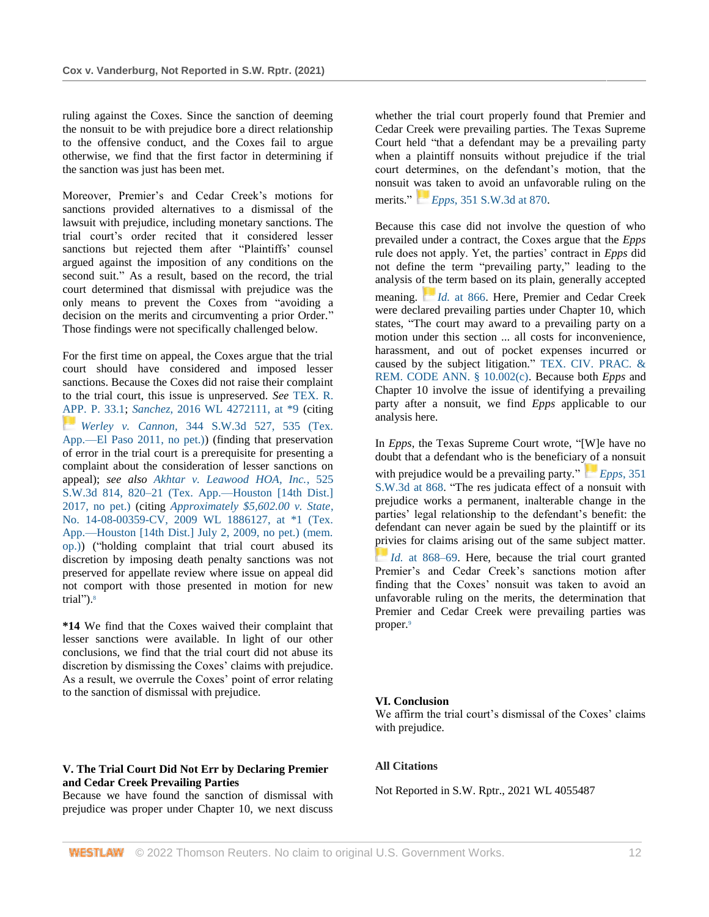ruling against the Coxes. Since the sanction of deeming the nonsuit to be with prejudice bore a direct relationship to the offensive conduct, and the Coxes fail to argue otherwise, we find that the first factor in determining if the sanction was just has been met.

Moreover, Premier's and Cedar Creek's motions for sanctions provided alternatives to a dismissal of the lawsuit with prejudice, including monetary sanctions. The trial court's order recited that it considered lesser sanctions but rejected them after "Plaintiffs' counsel argued against the imposition of any conditions on the second suit." As a result, based on the record, the trial court determined that dismissal with prejudice was the only means to prevent the Coxes from "avoiding a decision on the merits and circumventing a prior Order." Those findings were not specifically challenged below.

For the first time on appeal, the Coxes argue that the trial court should have considered and imposed lesser sanctions. Because the Coxes did not raise their complaint to the trial court, this issue is unpreserved. *See* [TEX. R.](http://www.westlaw.com/Link/Document/FullText?findType=L&pubNum=1005293&cite=TXRRAPR33.1&originatingDoc=Ib34fd8700fe311ecaa7cf4d9113e8a97&refType=LQ&originationContext=document&vr=3.0&rs=cblt1.0&transitionType=DocumentItem&contextData=(sc.Search))  [APP. P. 33.1;](http://www.westlaw.com/Link/Document/FullText?findType=L&pubNum=1005293&cite=TXRRAPR33.1&originatingDoc=Ib34fd8700fe311ecaa7cf4d9113e8a97&refType=LQ&originationContext=document&vr=3.0&rs=cblt1.0&transitionType=DocumentItem&contextData=(sc.Search)) *Sanchez*[, 2016 WL 4272111, at \\*9](http://www.westlaw.com/Link/Document/FullText?findType=Y&serNum=2039586083&pubNum=0000999&originatingDoc=Ib34fd8700fe311ecaa7cf4d9113e8a97&refType=RP&originationContext=document&vr=3.0&rs=cblt1.0&transitionType=DocumentItem&contextData=(sc.Search)) (citing *[W](https://1.next.westlaw.com/Link/RelatedInformation/Flag?documentGuid=I3356053d929611e0b63e897ab6fa6920&transitionType=InlineKeyCiteFlags&originationContext=docHeaderFlag&Rank=1&ppcid=ae1f743d2432421aafa26111c89e77c1&contextData=(sc.Search))erley v. Cannon*[, 344 S.W.3d 527, 535 \(Tex.](https://1.next.westlaw.com/Link/RelatedInformation/Flag?documentGuid=I3356053d929611e0b63e897ab6fa6920&transitionType=InlineKeyCiteFlags&originationContext=docHeaderFlag&Rank=1&ppcid=ae1f743d2432421aafa26111c89e77c1&contextData=(sc.Search))  [App.—El Paso 2011, no pet.\)\)](http://www.westlaw.com/Link/Document/FullText?findType=Y&serNum=2025432356&pubNum=0004644&originatingDoc=Ib34fd8700fe311ecaa7cf4d9113e8a97&refType=RP&fi=co_pp_sp_4644_535&originationContext=document&vr=3.0&rs=cblt1.0&transitionType=DocumentItem&contextData=(sc.Search)#co_pp_sp_4644_535) (finding that preservation of error in the trial court is a prerequisite for presenting a complaint about the consideration of lesser sanctions on appeal); *see also [Akhtar v. Leawood HOA, Inc.](http://www.westlaw.com/Link/Document/FullText?findType=Y&serNum=2041795603&pubNum=0004644&originatingDoc=Ib34fd8700fe311ecaa7cf4d9113e8a97&refType=RP&fi=co_pp_sp_4644_820&originationContext=document&vr=3.0&rs=cblt1.0&transitionType=DocumentItem&contextData=(sc.Search)#co_pp_sp_4644_820)*, 525 [S.W.3d 814, 820–21 \(Tex. App.—Houston \[14th Dist.\]](http://www.westlaw.com/Link/Document/FullText?findType=Y&serNum=2041795603&pubNum=0004644&originatingDoc=Ib34fd8700fe311ecaa7cf4d9113e8a97&refType=RP&fi=co_pp_sp_4644_820&originationContext=document&vr=3.0&rs=cblt1.0&transitionType=DocumentItem&contextData=(sc.Search)#co_pp_sp_4644_820)  [2017, no pet.\)](http://www.westlaw.com/Link/Document/FullText?findType=Y&serNum=2041795603&pubNum=0004644&originatingDoc=Ib34fd8700fe311ecaa7cf4d9113e8a97&refType=RP&fi=co_pp_sp_4644_820&originationContext=document&vr=3.0&rs=cblt1.0&transitionType=DocumentItem&contextData=(sc.Search)#co_pp_sp_4644_820) (citing *[Approximately \\$5,602.00 v. State](http://www.westlaw.com/Link/Document/FullText?findType=Y&serNum=2019263693&pubNum=0000999&originatingDoc=Ib34fd8700fe311ecaa7cf4d9113e8a97&refType=RP&originationContext=document&vr=3.0&rs=cblt1.0&transitionType=DocumentItem&contextData=(sc.Search))*, [No. 14-08-00359-CV, 2009 WL 1886127, at \\*1 \(Tex.](http://www.westlaw.com/Link/Document/FullText?findType=Y&serNum=2019263693&pubNum=0000999&originatingDoc=Ib34fd8700fe311ecaa7cf4d9113e8a97&refType=RP&originationContext=document&vr=3.0&rs=cblt1.0&transitionType=DocumentItem&contextData=(sc.Search))  [App.—Houston \[14th Dist.\] July 2, 2009, no pet.\) \(mem.](http://www.westlaw.com/Link/Document/FullText?findType=Y&serNum=2019263693&pubNum=0000999&originatingDoc=Ib34fd8700fe311ecaa7cf4d9113e8a97&refType=RP&originationContext=document&vr=3.0&rs=cblt1.0&transitionType=DocumentItem&contextData=(sc.Search))  [op.\)\)](http://www.westlaw.com/Link/Document/FullText?findType=Y&serNum=2019263693&pubNum=0000999&originatingDoc=Ib34fd8700fe311ecaa7cf4d9113e8a97&refType=RP&originationContext=document&vr=3.0&rs=cblt1.0&transitionType=DocumentItem&contextData=(sc.Search)) ("holding complaint that trial court abused its discretion by imposing death penalty sanctions was not preserved for appellate review where issue on appeal did not comport with those presented in motion for new trial").<sup>8</sup>

**\*14** We find that the Coxes waived their complaint that lesser sanctions were available. In light of our other conclusions, we find that the trial court did not abuse its discretion by dismissing the Coxes' claims with prejudice. As a result, we overrule the Coxes' point of error relating to the sanction of dismissal with prejudice.

**V. The Trial Court Did Not Err by Declaring Premier and Cedar Creek Prevailing Parties**

Because we have found the sanction of dismissal with prejudice was proper under Chapter 10, we next discuss whether the trial court properly found that Premier and Cedar Creek were prevailing parties. The Texas Supreme Court held "that a defendant may be a prevailing party when a plaintiff nonsuits without prejudice if the trial court determines, on the defendant's motion, that the nonsuit was taken to avoid an unfavorable ruling on the merits." *[E](https://1.next.westlaw.com/Link/RelatedInformation/Flag?documentGuid=Iaaf125d2d21d11e0bc27967e57e99458&transitionType=InlineKeyCiteFlags&originationContext=docHeaderFlag&Rank=1&ppcid=ae1f743d2432421aafa26111c89e77c1&contextData=(sc.Search))pps*[, 351 S.W.3d at 870.](https://1.next.westlaw.com/Link/RelatedInformation/Flag?documentGuid=Iaaf125d2d21d11e0bc27967e57e99458&transitionType=InlineKeyCiteFlags&originationContext=docHeaderFlag&Rank=1&ppcid=ae1f743d2432421aafa26111c89e77c1&contextData=(sc.Search))

Because this case did not involve the question of who prevailed under a contract, the Coxes argue that the *Epps* rule does not apply. Yet, the parties' contract in *Epps* did not define the term "prevailing party," leading to the analysis of the term based on its plain, generally accepted meaning. *[I](https://1.next.westlaw.com/Link/RelatedInformation/Flag?documentGuid=Iaaf125d2d21d11e0bc27967e57e99458&transitionType=InlineKeyCiteFlags&originationContext=docHeaderFlag&Rank=1&ppcid=ae1f743d2432421aafa26111c89e77c1&contextData=(sc.Search))d.* [at 866.](https://1.next.westlaw.com/Link/RelatedInformation/Flag?documentGuid=Iaaf125d2d21d11e0bc27967e57e99458&transitionType=InlineKeyCiteFlags&originationContext=docHeaderFlag&Rank=1&ppcid=ae1f743d2432421aafa26111c89e77c1&contextData=(sc.Search)) Here, Premier and Cedar Creek were declared prevailing parties under Chapter 10, which states, "The court may award to a prevailing party on a motion under this section ... all costs for inconvenience, harassment, and out of pocket expenses incurred or caused by the subject litigation." [TEX. CIV. PRAC. &](http://www.westlaw.com/Link/Document/FullText?findType=L&pubNum=1000170&cite=TXCPS10.002&originatingDoc=Ib34fd8700fe311ecaa7cf4d9113e8a97&refType=SP&originationContext=document&vr=3.0&rs=cblt1.0&transitionType=DocumentItem&contextData=(sc.Search)#co_pp_4b24000003ba5)  [REM. CODE ANN. § 10.002\(c\).](http://www.westlaw.com/Link/Document/FullText?findType=L&pubNum=1000170&cite=TXCPS10.002&originatingDoc=Ib34fd8700fe311ecaa7cf4d9113e8a97&refType=SP&originationContext=document&vr=3.0&rs=cblt1.0&transitionType=DocumentItem&contextData=(sc.Search)#co_pp_4b24000003ba5) Because both *Epps* and Chapter 10 involve the issue of identifying a prevailing party after a nonsuit, we find *Epps* applicable to our analysis here.

In *Epps*, the Texas Supreme Court wrote, "[W]e have no doubt that a defendant who is the beneficiary of a nonsuit with prejudice would be a prevailing party." *[E](https://1.next.westlaw.com/Link/RelatedInformation/Flag?documentGuid=Iaaf125d2d21d11e0bc27967e57e99458&transitionType=InlineKeyCiteFlags&originationContext=docHeaderFlag&Rank=1&ppcid=ae1f743d2432421aafa26111c89e77c1&contextData=(sc.Search))pps*[, 351](https://1.next.westlaw.com/Link/RelatedInformation/Flag?documentGuid=Iaaf125d2d21d11e0bc27967e57e99458&transitionType=InlineKeyCiteFlags&originationContext=docHeaderFlag&Rank=1&ppcid=ae1f743d2432421aafa26111c89e77c1&contextData=(sc.Search))  [S.W.3d at 868.](http://www.westlaw.com/Link/Document/FullText?findType=Y&serNum=2025963685&pubNum=0004644&originatingDoc=Ib34fd8700fe311ecaa7cf4d9113e8a97&refType=RP&fi=co_pp_sp_4644_868&originationContext=document&vr=3.0&rs=cblt1.0&transitionType=DocumentItem&contextData=(sc.Search)#co_pp_sp_4644_868) "The res judicata effect of a nonsuit with prejudice works a permanent, inalterable change in the parties' legal relationship to the defendant's benefit: the defendant can never again be sued by the plaintiff or its privies for claims arising out of the same subject matter. *[I](https://1.next.westlaw.com/Link/RelatedInformation/Flag?documentGuid=Iaaf125d2d21d11e0bc27967e57e99458&transitionType=InlineKeyCiteFlags&originationContext=docHeaderFlag&Rank=1&ppcid=ae1f743d2432421aafa26111c89e77c1&contextData=(sc.Search))d.* [at 868–69.](https://1.next.westlaw.com/Link/RelatedInformation/Flag?documentGuid=Iaaf125d2d21d11e0bc27967e57e99458&transitionType=InlineKeyCiteFlags&originationContext=docHeaderFlag&Rank=1&ppcid=ae1f743d2432421aafa26111c89e77c1&contextData=(sc.Search)) Here, because the trial court granted Premier's and Cedar Creek's sanctions motion after finding that the Coxes' nonsuit was taken to avoid an unfavorable ruling on the merits, the determination that Premier and Cedar Creek were prevailing parties was proper.<sup>9</sup>

## **VI. Conclusion**

We affirm the trial court's dismissal of the Coxes' claims with prejudice.

#### **All Citations**

Not Reported in S.W. Rptr., 2021 WL 4055487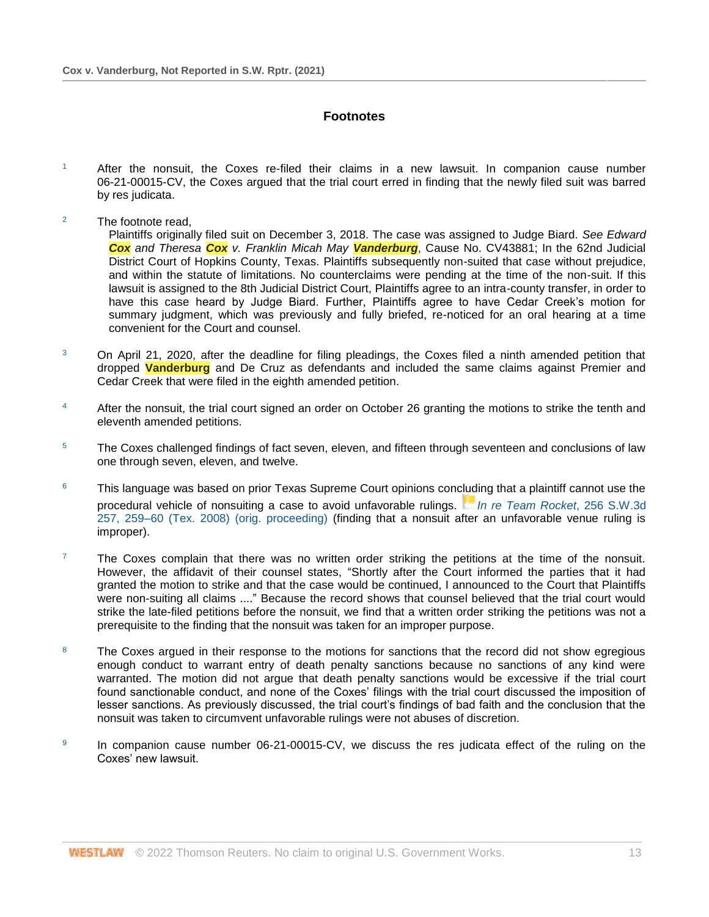# **Footnotes**

- $1$  After the nonsuit, the Coxes re-filed their claims in a new lawsuit. In companion cause number 06-21-00015-CV, the Coxes argued that the trial court erred in finding that the newly filed suit was barred by res judicata.
- <sup>2</sup> The footnote read,

Plaintiffs originally filed suit on December 3, 2018. The case was assigned to Judge Biard. *See Edward Cox and Theresa Cox v. Franklin Micah May Vanderburg*, Cause No. CV43881; In the 62nd Judicial District Court of Hopkins County, Texas. Plaintiffs subsequently non-suited that case without prejudice, and within the statute of limitations. No counterclaims were pending at the time of the non-suit. If this lawsuit is assigned to the 8th Judicial District Court, Plaintiffs agree to an intra-county transfer, in order to have this case heard by Judge Biard. Further, Plaintiffs agree to have Cedar Creek's motion for summary judgment, which was previously and fully briefed, re-noticed for an oral hearing at a time convenient for the Court and counsel.

- <sup>3</sup> On April 21, 2020, after the deadline for filing pleadings, the Coxes filed a ninth amended petition that dropped **Vanderburg** and De Cruz as defendants and included the same claims against Premier and Cedar Creek that were filed in the eighth amended petition.
- <sup>4</sup> After the nonsuit, the trial court signed an order on October 26 granting the motions to strike the tenth and eleventh amended petitions.
- <sup>5</sup> The Coxes challenged findings of fact seven, eleven, and fifteen through seventeen and conclusions of law one through seven, eleven, and twelve.
- $6$  This language was based on prior Texas Supreme Court opinions concluding that a plaintiff cannot use the procedural vehicle of nonsuiting a case to avoid unfavorable rulings. *[In re Team Rocket](https://1.next.westlaw.com/Link/RelatedInformation/Flag?documentGuid=Iedb9451828d511dd9876f446780b7bdc&transitionType=InlineKeyCiteFlags&originationContext=docHeaderFlag&Rank=1&ppcid=ae1f743d2432421aafa26111c89e77c1&contextData=(sc.Search))*, 256 S.W.3d [257, 259–60 \(Tex. 2008\) \(orig. proceeding\)](http://www.westlaw.com/Link/Document/FullText?findType=Y&serNum=2016165314&pubNum=0004644&originatingDoc=Ib34fd8700fe311ecaa7cf4d9113e8a97&refType=RP&fi=co_pp_sp_4644_259&originationContext=document&vr=3.0&rs=cblt1.0&transitionType=DocumentItem&contextData=(sc.Search)#co_pp_sp_4644_259) (finding that a nonsuit after an unfavorable venue ruling is improper).
- $7$  The Coxes complain that there was no written order striking the petitions at the time of the nonsuit. However, the affidavit of their counsel states, "Shortly after the Court informed the parties that it had granted the motion to strike and that the case would be continued, I announced to the Court that Plaintiffs were non-suiting all claims ...." Because the record shows that counsel believed that the trial court would strike the late-filed petitions before the nonsuit, we find that a written order striking the petitions was not a prerequisite to the finding that the nonsuit was taken for an improper purpose.
- <sup>8</sup> The Coxes argued in their response to the motions for sanctions that the record did not show egregious enough conduct to warrant entry of death penalty sanctions because no sanctions of any kind were warranted. The motion did not argue that death penalty sanctions would be excessive if the trial court found sanctionable conduct, and none of the Coxes' filings with the trial court discussed the imposition of lesser sanctions. As previously discussed, the trial court's findings of bad faith and the conclusion that the nonsuit was taken to circumvent unfavorable rulings were not abuses of discretion.
- 9 In companion cause number 06-21-00015-CV, we discuss the res judicata effect of the ruling on the Coxes' new lawsuit.